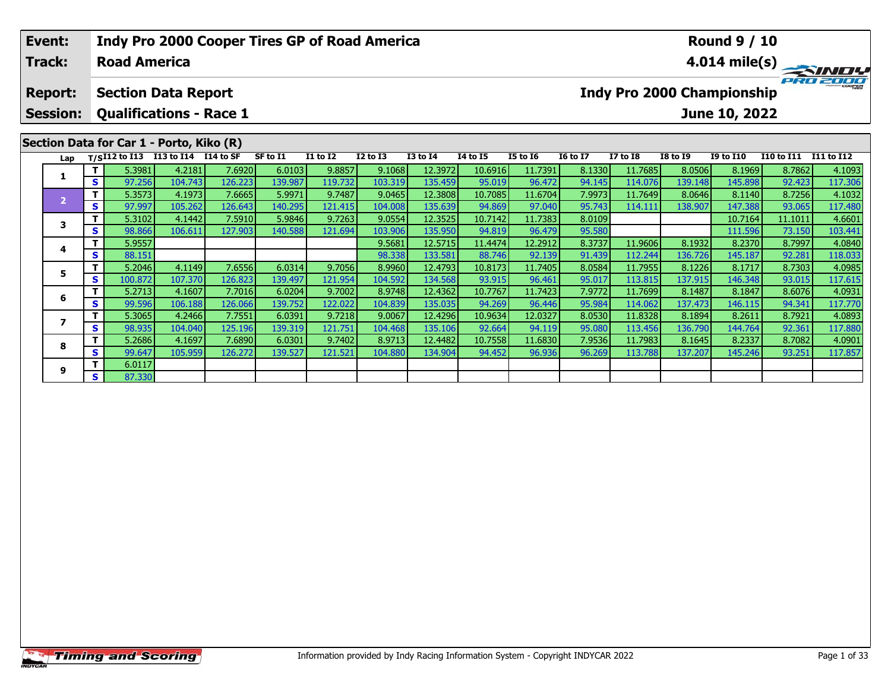| Event:<br><b>Track:</b> |    | <b>Road America</b>                             |         | <b>Indy Pro 2000 Cooper Tires GP of Road America</b> |          |          |                 |                 |                 |                 |                 |                 |                                   | <b>Round 9 / 10</b> |                   | $4.014 \text{ mile(s)}$ |
|-------------------------|----|-------------------------------------------------|---------|------------------------------------------------------|----------|----------|-----------------|-----------------|-----------------|-----------------|-----------------|-----------------|-----------------------------------|---------------------|-------------------|-------------------------|
| <b>Report:</b>          |    | <b>Section Data Report</b>                      |         |                                                      |          |          |                 |                 |                 |                 |                 |                 | <b>Indy Pro 2000 Championship</b> |                     | <b>PRO 2</b>      |                         |
| <b>Session:</b>         |    | <b>Qualifications - Race 1</b>                  |         |                                                      |          |          |                 |                 |                 |                 |                 |                 |                                   | June 10, 2022       |                   |                         |
|                         |    | Section Data for Car 1 - Porto, Kiko (R)        |         |                                                      |          |          |                 |                 |                 |                 |                 |                 |                                   |                     |                   |                         |
| Lap                     |    | T/SI12 to I13 I13 to I14 $\overline{114}$ to SF |         |                                                      | SF to I1 | I1 to I2 | <b>I2 to I3</b> | <b>I3 to I4</b> | <b>I4 to I5</b> | <b>I5 to 16</b> | <b>16 to 17</b> | <b>I7 to I8</b> | <b>I8 to I9</b>                   | <b>I9 to I10</b>    | <b>I10 to I11</b> | <b>I11 to I12</b>       |
|                         |    | 5.3981                                          | 4.2181  | 7.6920                                               | 6.0103   | 9.8857   | 9.1068          | 12.3972         | 10.6916         | 11.7391         | 8.1330          | 11.7685         | 8.0506                            | 8.1969              | 8.7862            | 4.1093                  |
|                         | S. | 97.256                                          | 104.743 | 126.223                                              | 139.987  | 119.732  | 103.319         | 135.459         | 95.019          | 96.472          | 94.145          | 114.076         | 139.148                           | 145.898             | 92.423            | 117.306                 |
| $\overline{2}$          |    | 5.3573                                          | 4.1973  | 7.6665                                               | 5.9971   | 9.7487   | 9.0465          | 12.3808         | 10.7085         | 11.6704         | 7.9973          | 11.7649         | 8.0646                            | 8.1140              | 8.7256            | 4.1032                  |
|                         | S. | 97.997                                          | 105.262 | 126.643                                              | 140.295  | 121.415  | 104.008         | 135.639         | 94.869          | 97.040          | 95.743          | 114.111         | 138.907                           | 147.388             | 93.065            | 117.480                 |
| 3                       |    | 5.3102                                          | 4.1442  | 7.5910                                               | 5.9846   | 9.7263   | 9.0554          | 12.3525         | 10.7142         | 11.7383         | 8.0109          |                 |                                   | 10.7164             | 11.1011           | 4.6601                  |
|                         | S  | 98.866                                          | 106.611 | 127.903                                              | 140.588  | 121.694  | 103.906         | 135.950         | 94.819          | 96.479          | 95.580          |                 |                                   | 111.596             | 73.150            | 103.441                 |
| 4                       |    | 5.9557                                          |         |                                                      |          |          | 9.5681          | 12.5715         | 11.4474         | 12.2912         | 8.3737          | 11.9606         | 8.1932                            | 8.2370              | 8.7997            | 4.0840                  |
|                         | S. | 88.151                                          |         |                                                      |          |          | 98.338          | 133.581         | 88.746          | 92.139          | 91.439          | 112.244         | 136.726                           | 145.187             | 92.281            | 118.033                 |
| 5                       |    | 5.2046                                          | 4.1149  | 7.6556                                               | 6.0314   | 9.7056   | 8.9960          | 12.4793         | 10.8173         | 11.7405         | 8.0584          | 11.7955         | 8.1226                            | 8.1717              | 8.7303            | 4.0985                  |
|                         | S  | 100.872                                         | 107.370 | 126.823                                              | 139.497  | 121.954  | 104.592         | 134.568         | 93.915          | 96.461          | 95.017          | 113.815         | 137.915                           | 146.348             | 93.015            | 117.615                 |
| 6                       |    | 5.2713                                          | 4.1607  | 7.7016                                               | 6.0204   | 9.7002   | 8.9748          | 12.4362         | 10.7767         | 11.7423         | 7.9772          | 11.7699         | 8.1487                            | 8.1847              | 8.6076            | 4.0931                  |
|                         | S  | 99.596                                          | 106.188 | 126.066                                              | 139.752  | 122.022  | 104.839         | 135.035         | 94.269          | 96.446          | 95.984          | 114.062         | 137.473                           | 146.115             | 94.341            | 117.770                 |

7 | T | 5.3065| 4.2466| 7.7551| 6.0391| 9.7218| 9.0067| 12.4296| 10.9634| 12.0327| 8.0530| 11.8328| 8.1894| 8.2611| 8.7921| 4.0893<br>7 | S | 98.935 104.040 125.196 139.319 121.751 104.468 135.106 92.664 94.119 95.080 113.456

8 T | 5.2686 4.1697 7.6890 6.0301 9.7402 8.9713 12.4482 10.7558 11.6830 7.9536 11.7983 8.1645 8.2337 8.7082 4.0901<br>- S 99.647 105.959 126.272 139.527 121.521 104.880 134.904 94.452 96.936 96.269 113.788 137.207 145.246 93.

**7**

**8**

**9**

**<sup>T</sup>** 6.0117 **<sup>S</sup>** 87.330

117.880<br>4.0901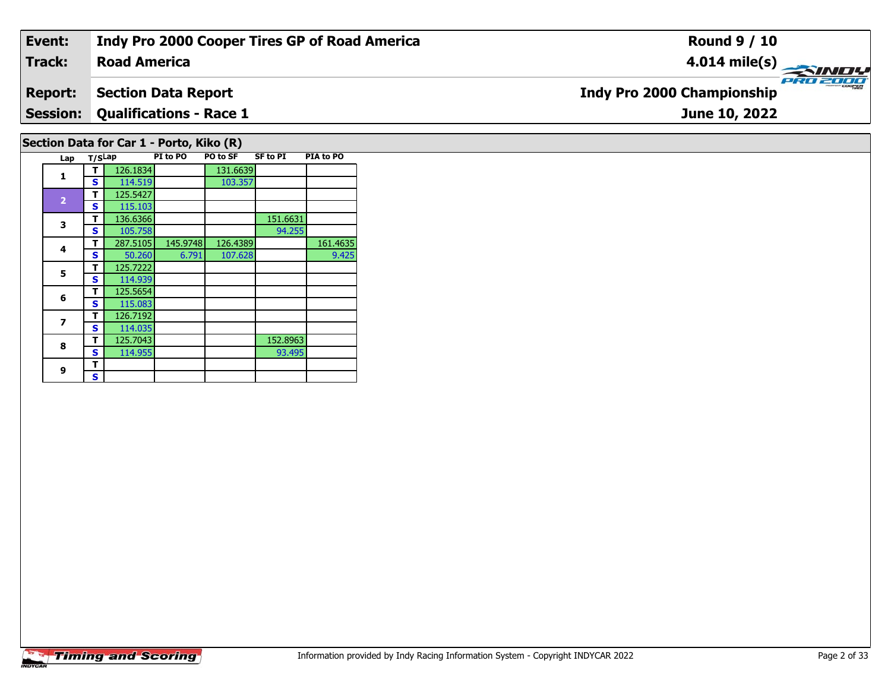# **Event: Indy Pro 2000 Cooper Tires GP of Road America Round 9 / 10Track:Road America4.014 mile(s)** PRO 2000 **Section Data Report Report: Indy Pro 2000 Championship Session: Qualifications - Race 1 June 10, 2022 Section Data for Car 1 - Porto, Kiko (R) Lap T/SLap PI to PO PO to SF SF to PI PIA to PO T** 126.1834 131.6639<br>**S** 114.519 103.357

**1**

**3**

**4**

**5**

**6**

**7**

**8**

**9 TS**

**<sup>T</sup>** 125.5427 **<sup>S</sup>** 115.103

**<sup>T</sup>** 125.7222 **<sup>S</sup>** 114.939

**<sup>T</sup>** 125.5654 **<sup>S</sup>** 115.083

**<sup>T</sup>** 126.7192 **<sup>S</sup>** 114.035

**T** 136.6366 1051.6631 151.6631 **S** 105.758

**R T** 125.7043 152.8963<br>**S** 114.955 93.495

**T** 287.5105 145.9748 126.4389 161.4635<br>S 50.260 6.791 107.628 9.425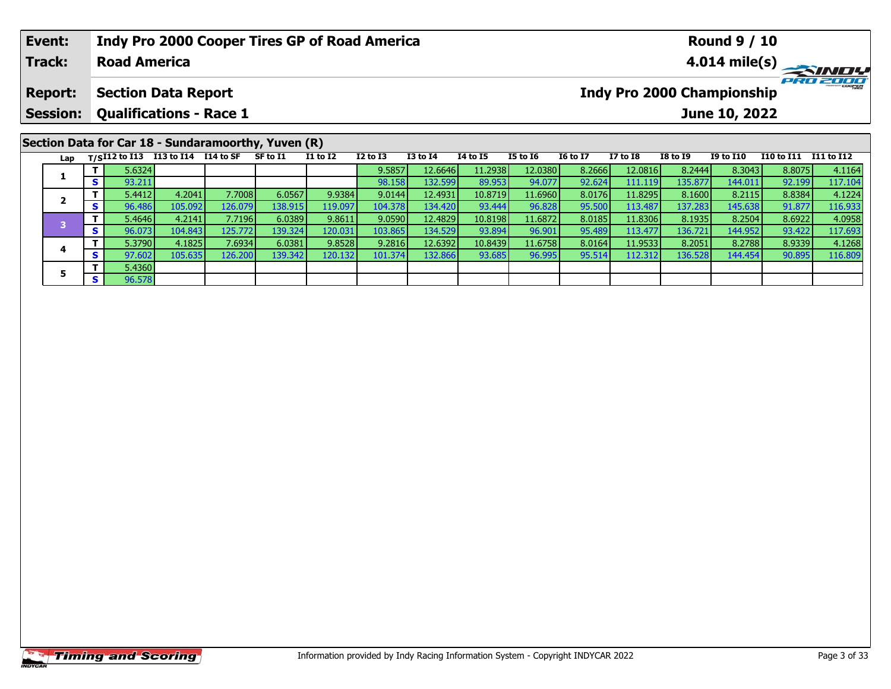| Event:          |     |                     |                                      | <b>Indy Pro 2000 Cooper Tires GP of Road America</b> |          |                 |              |              |                 |                 |                 |                 |                 | <b>Round 9 / 10</b>        |                   |                         |
|-----------------|-----|---------------------|--------------------------------------|------------------------------------------------------|----------|-----------------|--------------|--------------|-----------------|-----------------|-----------------|-----------------|-----------------|----------------------------|-------------------|-------------------------|
| <b>Track:</b>   |     | <b>Road America</b> |                                      |                                                      |          |                 |              |              |                 |                 |                 |                 |                 |                            |                   | $4.014 \text{ mile(s)}$ |
| <b>Report:</b>  |     |                     | <b>Section Data Report</b>           |                                                      |          |                 |              |              |                 |                 |                 |                 |                 | Indy Pro 2000 Championship |                   | PRO ZOOS                |
| <b>Session:</b> |     |                     | <b>Qualifications - Race 1</b>       |                                                      |          |                 |              |              |                 |                 |                 |                 |                 | June 10, 2022              |                   |                         |
|                 |     |                     |                                      | Section Data for Car 18 - Sundaramoorthy, Yuven (R)  |          |                 |              |              |                 |                 |                 |                 |                 |                            |                   |                         |
| Lap             |     |                     | $T/SI12$ to I13 I13 to I14 I14 to SF |                                                      | SF to I1 | <b>I1 to I2</b> | $I2$ to $I3$ | $I3$ to $I4$ | <b>I4 to I5</b> | <b>I5 to 16</b> | <b>16 to 17</b> | <b>I7 to I8</b> | <b>I8 to I9</b> | <b>I9 to I10</b>           | <b>I10 to I11</b> | I11 to I12              |
|                 |     | 5.6324              |                                      |                                                      |          |                 | 9.5857       | 12.6646      | 11.2938         | 12.0380         | 8.2666          | 12.0816         | 8.2444          | 8.3043                     | 8.8075            | 4.1164                  |
| л.              | s l | 93.211              |                                      |                                                      |          |                 | 98.158       | 132.599      | 89.953          | 94.077          | 92.624          | 111.119         | 135.877         | 144.011                    | 92.199            | 117.104                 |
| $\overline{2}$  |     | 5.4412              | 4.2041                               | 7.7008                                               | 6.0567   | 9.9384          | 9.0144       | 12.4931      | 10.8719         | 11.6960         | 8.0176          | 11.8295         | 8.1600          | 8.2115                     | 8.8384            | 4.1224                  |
|                 | S I | 96.486              | 105.092                              | 126.079                                              | 138.915  | 119.097         | 104.378      | 134.420      | 93.444          | 96.828          | 95.500          | 113.487         | 137.283         | 145.638                    | 91.877            | 116.933                 |

3 T | 5.4646 4.2141 7.7196 6.0389 9.8611 9.0590 12.4829 10.8198 11.6872 8.0185 11.8306 8.1935 8.2504 8.6922 4.0958<br>S 96.073 104.843 125.772 139.324 120.031 103.865 134.529 93.894 96.901 95.489 113.477 136.721 144.952 93.42

4 | **T** | 5.3790 | 4.1825 | 7.6934 | 6.0381 | 9.8528 | 9.2816 | 12.6392 | 10.8439 | 11.6758 | 8.0164 | 11.9533 | 8.2051 | 8.2788 | 8.9339 | 4.1268<br>- | S | 97.602 | 105.635 | 126.200 | 139.342 | 120.132 | 101.374 | 132.866

**4**

**5**

**5 T** 5.4360<br>**S** 96.578

117.693<br>4.1268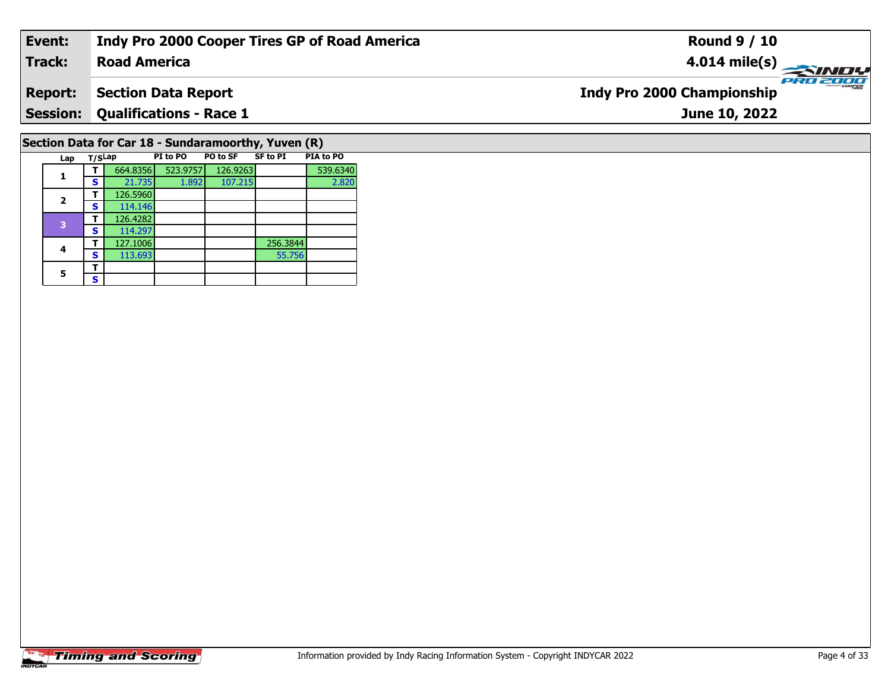| Event:         | Indy Pro 2000 Cooper Tires GP of Road America       | <b>Round 9 / 10</b>                           |
|----------------|-----------------------------------------------------|-----------------------------------------------|
| <b>Track:</b>  | <b>Road America</b>                                 |                                               |
| <b>Report:</b> | <b>Section Data Report</b>                          | PRO 2000<br><b>Indy Pro 2000 Championship</b> |
|                | <b>Session: Qualifications - Race 1</b>             | June 10, 2022                                 |
|                | Section Data for Car 18 - Sundaramoorthy, Yuven (R) |                                               |

# **Timing and Scoring**

**Lap T/SLap PI to PO PO to SF SF to PI PIA to PO** 

**4 T** 127.1006 256.3844<br> **S** 113.693 55.756

**T** 664.8356 523.9757 126.9263 539.6340<br>**S** 21.735 1.892 107.215 2.820

55.756

**1**

**2**

**4**

5  $\frac{1}{s}$ 

**a T** 126.5960<br>**S** 114.146

 **<sup>T</sup>** 126.4282 **<sup>S</sup>** 114.297127.1006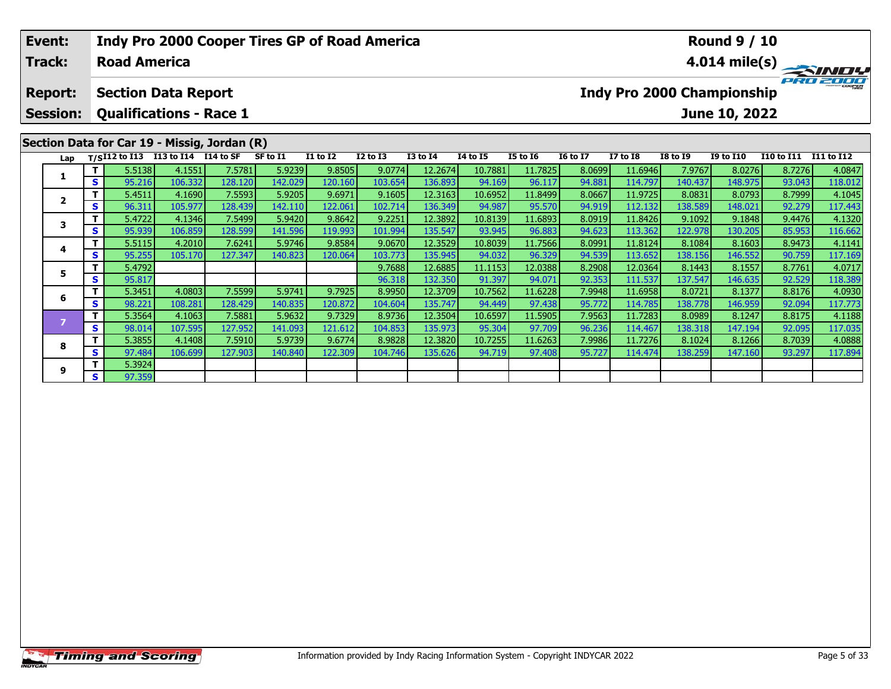| Event:<br><b>Track:</b> |    | <b>Road America</b>          |                                | Indy Pro 2000 Cooper Tires GP of Road America |          |                 |                 |                 |          |                 |                 |                 |                                   | <b>Round 9 / 10</b> |                   | $\overrightarrow{4.014}$ mile(s) |
|-------------------------|----|------------------------------|--------------------------------|-----------------------------------------------|----------|-----------------|-----------------|-----------------|----------|-----------------|-----------------|-----------------|-----------------------------------|---------------------|-------------------|----------------------------------|
| <b>Report:</b>          |    |                              | <b>Section Data Report</b>     |                                               |          |                 |                 |                 |          |                 |                 |                 | <b>Indy Pro 2000 Championship</b> |                     |                   |                                  |
| <b>Session:</b>         |    |                              | <b>Qualifications - Race 1</b> |                                               |          |                 |                 |                 |          |                 |                 |                 |                                   | June 10, 2022       |                   |                                  |
|                         |    |                              |                                | Section Data for Car 19 - Missig, Jordan (R)  |          |                 |                 |                 |          |                 |                 |                 |                                   |                     |                   |                                  |
| Lap                     |    | $T/SI12$ to $\overline{I13}$ | I13 to I14 I14 to SF           |                                               | SF to I1 | <b>I1 to I2</b> | <b>I2 to I3</b> | <b>I3 to I4</b> | 14 to 15 | <b>I5 to 16</b> | <b>16 to 17</b> | <b>I7 to I8</b> | <b>I8 to I9</b>                   | <b>I9 to I10</b>    | <b>I10 to I11</b> | <b>I11 to I12</b>                |
| 1                       |    | 5.5138                       | 4.1551                         | 7.5781                                        | 5.9239   | 9.8505          | 9.0774          | 12.2674         | 10.7881  | 11.7825         | 8.0699          | 11.6946         | 7.9767                            | 8.0276              | 8.7276            | 4.0847                           |
|                         | S  | 95.216                       | 106.332                        | 128.120                                       | 142.029  | 120.160         | 103.654         | 136.893         | 94.169   | 96.117          | 94.881          | 114.797         | 140.437                           | 148.975             | 93.043            | 118.012                          |
| $\overline{\mathbf{z}}$ |    | 5.4511                       | 4.1690                         | 7.5593                                        | 5.9205   | 9.6971          | 9.1605          | 12.3163         | 10.6952  | 11.8499         | 8.0667          | 11.9725         | 8.0831                            | 8.0793              | 8.7999            | 4.1045                           |
|                         | S  | 96.311                       | 105.977                        | 128.439                                       | 142.110  | 122.061         | 102.714         | 136.349         | 94.987   | 95.570          | 94.919          | 112.132         | 138.589                           | 148.021             | 92.279            | 117.443                          |
| 3                       |    | 5.4722                       | 4.1346                         | 7.5499                                        | 5.9420   | 9.8642          | 9.2251          | 12.3892         | 10.8139  | 11.6893         | 8.0919          | 11.8426         | 9.1092                            | 9.1848              | 9.4476            | 4.1320                           |
|                         | S  | 95.939                       | 106.859                        | 128.599                                       | 141.596  | 119.993         | 101.994         | 135.547         | 93.945   | 96.883          | 94.623          | 113.362         | 122.978                           | 130.205             | 85.953            | 116.662                          |
| 4                       |    | 5.5115                       | 4.2010                         | 7.6241                                        | 5.9746   | 9.8584          | 9.0670          | 12.3529         | 10.8039  | 11.7566         | 8.0991          | 11.8124         | 8.1084                            | 8.1603              | 8.9473            | 4.1141                           |
|                         | S. | 95.255                       | 105.170                        | 127.347                                       | 140.823  | 120.064         | 103.773         | 135.945         | 94.032   | 96.329          | 94.539          | 113.652         | 138.156                           | 146.552             | 90.759            | 117.169                          |
| 5                       |    | 5.4792                       |                                |                                               |          |                 | 9.7688          | 12.6885         | 11.1153  | 12.0388         | 8.2908          | 12.0364         | 8.1443                            | 8.1557              | 8.7761            | 4.0717                           |
|                         | S  | 95.817                       |                                |                                               |          |                 | 96.318          | 132.350         | 91.397   | 94.071          | 92.353          | 111.537         | 137.547                           | 146.635             | 92.529            | 118.389                          |
| 6                       |    | 5.3451                       | 4.0803                         | 7.5599                                        | 5.9741   | 9.7925          | 8.9950          | 12.3709         | 10.7562  | 11.6228         | 7.9948          | 11.6958         | 8.0721                            | 8.1377              | 8.8176            | 4.0930                           |
|                         | S  | 98.221                       | 108.281                        | 128.429                                       | 140.835  | 120.872         | 104.604         | 135.747         | 94.449   | 97.438          | 95.772          | 114.785         | 138.778                           | 146.959             | 92.094            | 117.773                          |
|                         | Τ. | 5.3564                       | 4.1063                         | 7.5881                                        | 5.9632   | 9.7329          | 8.9736          | 12.3504         | 10.6597  | 11.5905         | 7.9563          | 11.7283         | 8.0989                            | 8.1247              | 8.8175            | 4.1188                           |

**<sup>T</sup>** 5.3564 4.1063 7.5881 5.9632 9.7329 8.9736 12.3504 10.6597 11.5905 7.9563 11.7283 8.0989 8.1247 8.8175 4.1188 **<sup>S</sup>** 98.014 107.595 127.952 141.093 121.612 104.853 135.973 95.304 97.709 96.236 114.467 138.318 147.194 92.095 117.035

8 T | 5.3855 4.1408 7.5910 5.9739 9.6774 8.9828 12.3820 10.7255 11.6263 7.9986 11.7276 8.1024 8.1266 8.7039 4.0888<br>- S 97.484 106.699 127.903 140.840 122.309 104.746 135.626 94.719 97.408 95.727 114.474 138.259 147.160 93.

**8**

**9**

**<sup>T</sup>** 5.3924 **<sup>S</sup>** 97.359

117.035<br>4.0888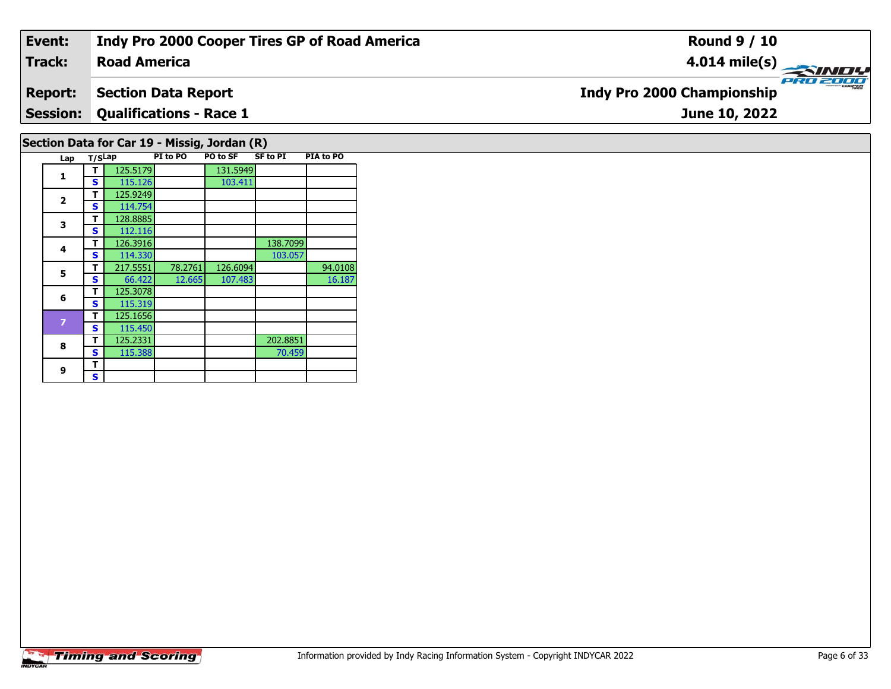### **Event: Indy Pro 2000 Cooper Tires GP of Road America Round 9 / 10Road America4.014 mile(s) Track:** PRO 2000 **Indy Pro 2000 Championship Report: Section Data Report Qualifications - Race 1 Session:June 10, 2022 Section Data for Car 19 - Missig, Jordan (R)**

| Lap            | T/SLap |          | PI to PO | <b>PO to SF</b> | <b>SF to PI</b> | PIA to PO |
|----------------|--------|----------|----------|-----------------|-----------------|-----------|
| 1              | т      | 125.5179 |          | 131.5949        |                 |           |
|                | S      | 115.126  |          | 103.411         |                 |           |
| $\overline{2}$ | т      | 125.9249 |          |                 |                 |           |
|                | s      | 114.754  |          |                 |                 |           |
| 3              | т      | 128.8885 |          |                 |                 |           |
|                | S      | 112.116  |          |                 |                 |           |
| 4              | т      | 126.3916 |          |                 | 138.7099        |           |
|                | S      | 114.330  |          |                 | 103.057         |           |
| 5              | т      | 217.5551 | 78.2761  | 126.6094        |                 | 94.0108   |
|                | S      | 66.422   | 12.665   | 107.483         |                 | 16.187    |
| 6              | т      | 125.3078 |          |                 |                 |           |
|                | S      | 115.319  |          |                 |                 |           |
| 7              | т      | 125.1656 |          |                 |                 |           |
|                | S      | 115.450  |          |                 |                 |           |
| 8              | т      | 125.2331 |          |                 | 202.8851        |           |
|                | S      | 115.388  |          |                 | 70.459          |           |
| 9              | т      |          |          |                 |                 |           |
|                | S      |          |          |                 |                 |           |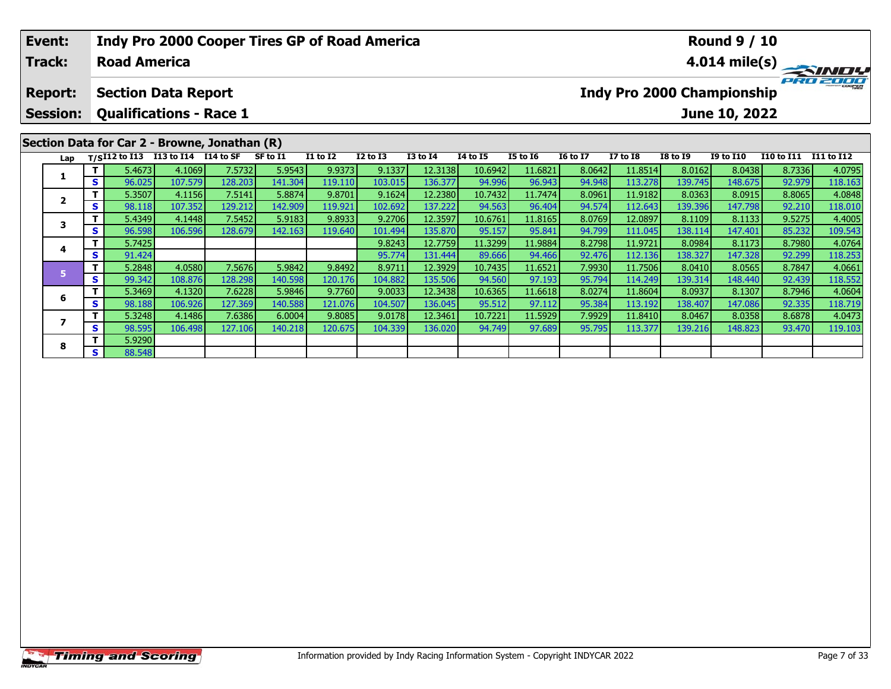# **Event:Round 9 / 10 Indy Pro 2000 Cooper Tires GP of Road America Track:Road America4.014 mile(s)** PRO 2000 **Report: Section Data Report Indy Pro 2000 Championship Session: Qualifications - Race 1 June 10, 2022 Section Data for Car 2 - Browne, Jonathan (R) Lap T/SI12 to I13 I13 to I14 I14 to SF SF to I1 I1 to I2 I2 to I3 I3 to I4 I4 to I5 I5 to I6 I6 to I7 I7 to I8 I8 to I9 I9 to I10 I10 to I11 I11 to I12**  1 | T | 5.4673 |4.1069 | 7.5732 | 5.9543 | 9.9373 | 9.1337 | 12.3138 | 10.6942 | 11.6821 | 8.0642 | 11.8514 | 8.0162 | 8.0438 | 8.7336 | 4.0795<br>1 | S | 96.025 | 107.579 | 128.203 | 141.304 | 119.110 | 103.015 | 136.377 | 9 **1**2 | T | 5.3507| 4.1156| 7.5141| 5.8874| 9.8701| 9.1624| 12.2380| 10.7432| 11.7474| 8.0961| 11.9182| 8.0363| 8.0915| 8.8065| 4.0848<br>2 | S | 98.118| 107.352| 129.212| 142.909| 119.921| 102.692| 137.222| 94.563| 96.404| 94.57 **2**3 T | 5.4349 4.1448 7.5452 5.9183 9.8933 9.2706 12.3597 10.6761 11.8165 8.0769 12.0897 8.1109 8.1133 9.5275 4.4005<br>S S 96.598 106.596 128.679 142.163 119.640 101.494 135.870 95.157 95.841 94.799 111.045 138.114 147.401 85. **3 <sup>T</sup>** 5.7425 9.8243 12.7759 11.3299 11.9884 8.2798 11.9721 8.0984 8.1173 8.7980 4.0764 **<sup>S</sup>** 91.424 95.774 131.444 89.666 94.466 92.476 112.136 138.327 147.328 92.299 118.253**4**118.253 **<sup>T</sup>** 5.2848 4.0580 7.5676 5.9842 9.8492 8.9711 12.3929 10.7435 11.6521 7.9930 11.7506 8.0410 8.0565 8.7847 4.0661 **<sup>S</sup>** 99.342 108.876 128.298 140.598 120.176 104.882 135.506 94.560 97.193 95.794 114.249 139.314 148.440 92.439 118.552**5**

**<sup>T</sup>** 5.3469 4.1320 7.6228 5.9846 9.7760 9.0033 12.3438 10.6365 11.6618 8.0274 11.8604 8.0937 8.1307 8.7946 4.0604 **<sup>S</sup>** 98.188 106.926 127.369 140.588 121.076 104.507 136.045 95.512 97.112 95.384 113.192 138.407 147.086 92.335 118.719

7 | T | 5.3248| 4.1486| 7.6386| 6.0004| 9.8085| 9.0178| 12.3461| 10.7221| 11.5929| 7.9929| 11.8410| 8.0467| 8.0358| 8.6878| 4.0473<br>7 | S | 98.595| 106.498| 127.106| 140.218| 120.675| 104.339| 136.020| 94.749| 97.689| 95.79

**6**

**7**

**8**

**T** 5.9290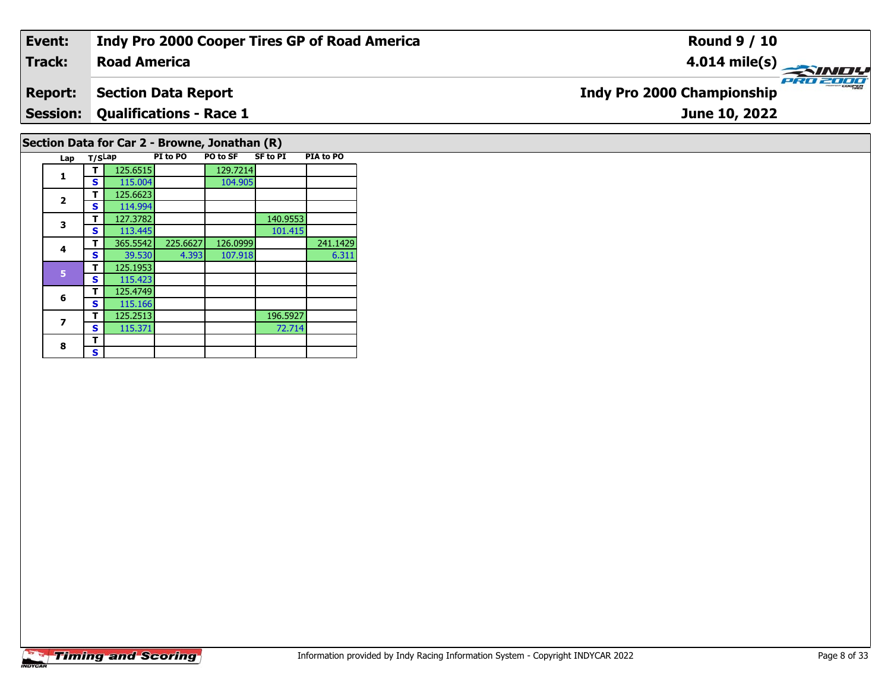#### **Event: Indy Pro 2000 Cooper Tires GP of Road America Round 9 / 10Road America4.014 mile(s) Track:** PRO 200 **Indy Pro 2000 Championship Report: Section Data Report Qualifications - Race 1 Session:June 10, 2022 Section Data for Car 2 - Browne, Jonathan (R)**

| Lap          | T/SLap |          | PI to PO | PO to SF | <b>SF to PI</b> | PIA to PO |
|--------------|--------|----------|----------|----------|-----------------|-----------|
| 1            |        | 125.6515 |          | 129.7214 |                 |           |
|              | S      | 115.004  |          | 104.905  |                 |           |
|              | т      | 125.6623 |          |          |                 |           |
| $\mathbf{2}$ | S      | 114.994  |          |          |                 |           |
| 3            | т      | 127.3782 |          |          | 140.9553        |           |
|              | S      | 113.445  |          |          | 101.415         |           |
| 4            | т      | 365.5542 | 225.6627 | 126.0999 |                 | 241.1429  |
|              | S      | 39.530   | 4.393    | 107.918  |                 | 6.311     |
| 5            | т      | 125.1953 |          |          |                 |           |
|              | S      | 115.423  |          |          |                 |           |
| 6            | т      | 125.4749 |          |          |                 |           |
|              | S      | 115.166  |          |          |                 |           |
| 7            | т      | 125.2513 |          |          | 196.5927        |           |
|              | S      | 115.371  |          |          | 72.714          |           |
| 8            | т      |          |          |          |                 |           |
|              | S      |          |          |          |                 |           |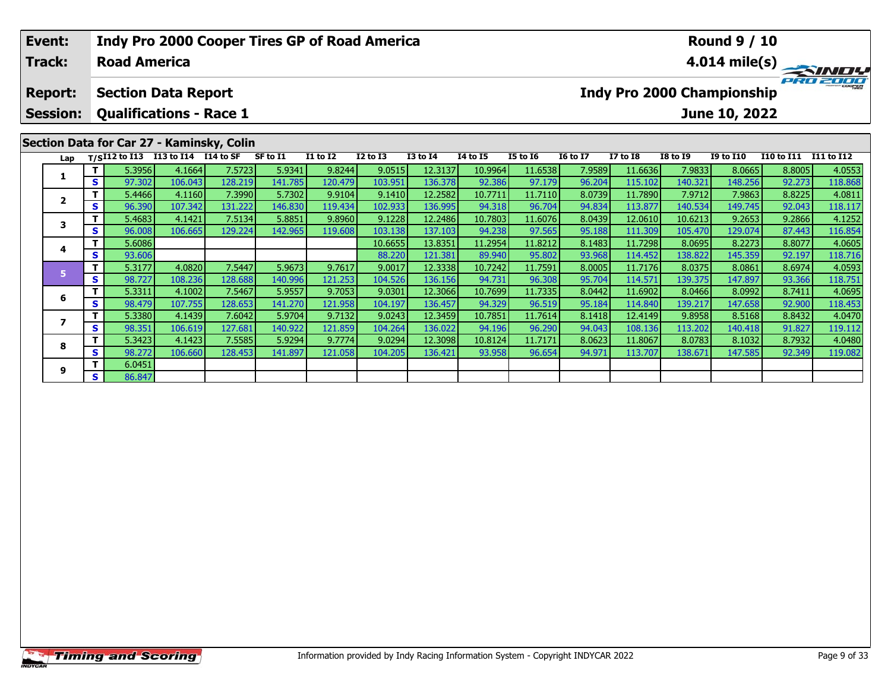| <b>Event:</b><br><b>Track:</b> |    | <b>Road America</b>            |                      |                                           | <b>Indy Pro 2000 Cooper Tires GP of Road America</b> |                 |                 |                 |                 |                 |                 |                 |                                   | <b>Round 9 / 10</b> |                   | $\overrightarrow{4.014}$ mile(s) |
|--------------------------------|----|--------------------------------|----------------------|-------------------------------------------|------------------------------------------------------|-----------------|-----------------|-----------------|-----------------|-----------------|-----------------|-----------------|-----------------------------------|---------------------|-------------------|----------------------------------|
| <b>Report:</b>                 |    | <b>Section Data Report</b>     |                      |                                           |                                                      |                 |                 |                 |                 |                 |                 |                 | <b>Indy Pro 2000 Championship</b> |                     |                   |                                  |
| <b>Session:</b>                |    | <b>Qualifications - Race 1</b> |                      |                                           |                                                      |                 |                 |                 |                 |                 |                 |                 |                                   | June 10, 2022       |                   |                                  |
|                                |    |                                |                      | Section Data for Car 27 - Kaminsky, Colin |                                                      |                 |                 |                 |                 |                 |                 |                 |                                   |                     |                   |                                  |
| Lap                            |    | $T/SI12$ to $I13$              | I13 to I14 I14 to SF |                                           | SF to I1                                             | <b>I1 to I2</b> | <b>I2 to I3</b> | <b>I3 to I4</b> | <b>14 to 15</b> | <b>I5 to 16</b> | <b>16 to 17</b> | <b>I7 to I8</b> | <b>I8 to I9</b>                   | <b>I9 to I10</b>    | <b>I10 to I11</b> | I11 to I12                       |
| 1                              |    | 5.3956                         | 4.1664               | 7.5723                                    | 5.9341                                               | 9.8244          | 9.0515          | 12.3137         | 10.9964         | 11.6538         | 7.9589          | 11.6636         | 7.9833                            | 8.0665              | 8.8005            | 4.0553                           |
|                                | s  | 97.302                         | 106.043              | 128.219                                   | 141.785                                              | 120.479         | 103.951         | 136.378         | 92.386          | 97.179          | 96.204          | 115.102         | 140.321                           | 148.256             | 92.273            | 118.868                          |
| $\overline{\mathbf{2}}$        |    | 5.4466                         | 4.1160               | 7.3990                                    | 5.7302                                               | 9.9104          | 9.1410          | 12.2582         | 10.7711         | 11.7110         | 8.0739          | 11.7890         | 7.9712                            | 7.9863              | 8.8225            | 4.0811                           |
|                                | S  | 96.390                         | 107.342              | 131.222                                   | 146.830                                              | 119.434         | 102.933         | 136.995         | 94.318          | 96.704          | 94.834          | 113.877         | 140.534                           | 149.745             | 92.043            | 118.117                          |
| 3                              |    | 5.4683                         | 4.1421               | 7.5134                                    | 5.8851                                               | 9.8960          | 9.1228          | 12.2486         | 10.7803         | 11.6076         | 8.0439          | 12.0610         | 10.6213                           | 9.2653              | 9.2866            | 4.1252                           |
|                                | S. | 96.008                         | 106.665              | 129.224                                   | 142.965                                              | 119.608         | 103.138         | 137.103         | 94.238          | 97.565          | 95.188          | 111.309         | 105.470                           | 129.074             | 87.443            | 116.854                          |
| 4                              |    | 5.6086                         |                      |                                           |                                                      |                 | 10.6655         | 13.8351         | 11.2954         | 11.8212         | 8.1483          | 11.7298         | 8.0695                            | 8.2273              | 8.8077            | 4.0605                           |
|                                | S  | 93.606                         |                      |                                           |                                                      |                 | 88.220          | 121.381         | 89.940          | 95.802          | 93.968          | 114.452         | 138.822                           | 145.359             | 92.197            | 118.716                          |
| 5                              |    | 5.3177                         | 4.0820               | 7.5447                                    | 5.9673                                               | 9.7617          | 9.0017          | 12.3338         | 10.7242         | 11.7591         | 8.0005          | 11.7176         | 8.0375                            | 8.0861              | 8.6974            | 4.0593                           |
|                                | s  | 98.727                         | 108.236              | 128.688                                   | 140.996                                              | 121.253         | 104.526         | 136.156         | 94.731          | 96.308          | 95.704          | 114.571         | 139.375                           | 147.897             | 93.366            | 118.751                          |
| 6                              |    | 5.3311                         | 4.1002               | 7.5467                                    | 5.9557                                               | 9.7053          | 9.0301          | 12.3066         | 10.7699         | 11.7335         | 8.0442          | 11.6902         | 8.0466                            | 8.0992              | 8.7411            | 4.0695                           |
|                                | S. | 98.479                         | 107.7551             | 128.653                                   | 141.270                                              | 121.9581        | 104.197         | 136.457         | 94.329          | 96.519          | 95.184          | 114.840         | 139.2171                          | 147.658             | 92.900            | 118.453                          |

7 | T | 5.3380 | 4.1439 | 7.6042 | 5.9704 | 9.7132 | 9.0243 | 12.3459 | 10.7851 | 11.7614 | 8.1418 | 12.4149 | 9.8958 | 8.5168 | 8.8432 | 4.0470<br>7 | S | 98.351 | 106.619 | 127.681 | 140.922 | 121.859 | 104.264 | 136.022 |

8 T | 5.3423 4.1423 7.5585 5.9294 9.7774 9.0294 12.3098 10.8124 11.7171 8.0623 11.8067 8.0783 8.1032 8.7932 4.0480<br>8 S 98.272 106.660 128.453 141.897 121.058 104.205 136.421 93.958 96.654 94.971 113.707 138.671 147.585 92.

**7**

**8**

**9**

**<sup>T</sup>** 6.0451 **<sup>S</sup>** 86.847

118.453<br>4.0470

119.112<br>4.0480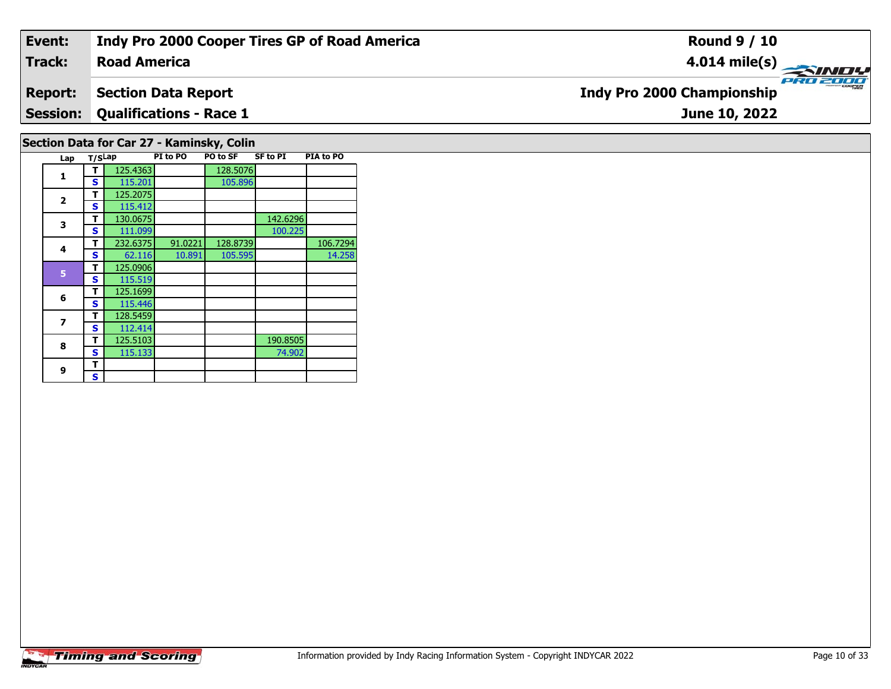#### **Event: Indy Pro 2000 Cooper Tires GP of Road America Round 9 / 10Road America4.014 mile(s) Track:** PRO 2000 **Report: Section Data Report Indy Pro 2000 Championship Session: Qualifications - Race 1 June 10, 2022 Section Data for Car 27 - Kaminsky, Colin**

|              |        |          |          | ,,,      |                 |           |
|--------------|--------|----------|----------|----------|-----------------|-----------|
| Lap          | T/SLap |          | PI to PO | PO to SF | <b>SF to PI</b> | PIA to PO |
| 1            |        | 125.4363 |          | 128.5076 |                 |           |
|              | S      | 115.201  |          | 105.896  |                 |           |
| $\mathbf{2}$ | т      | 125.2075 |          |          |                 |           |
|              | S      | 115.412  |          |          |                 |           |
| 3            | т      | 130.0675 |          |          | 142.6296        |           |
|              | S      | 111.099  |          |          | 100.225         |           |
| 4            | т      | 232.6375 | 91.0221  | 128.8739 |                 | 106.7294  |
|              | S      | 62.116   | 10.891   | 105.595  |                 | 14.258    |
| 5            | т      | 125.0906 |          |          |                 |           |
|              | S      | 115.519  |          |          |                 |           |
| 6            | т      | 125.1699 |          |          |                 |           |
|              | S      | 115.446  |          |          |                 |           |
| 7            | т      | 128.5459 |          |          |                 |           |
|              | S      | 112.414  |          |          |                 |           |
| 8            | т      | 125.5103 |          |          | 190.8505        |           |
|              | S      | 115.133  |          |          | 74.902          |           |
| 9            | т      |          |          |          |                 |           |
|              | S      |          |          |          |                 |           |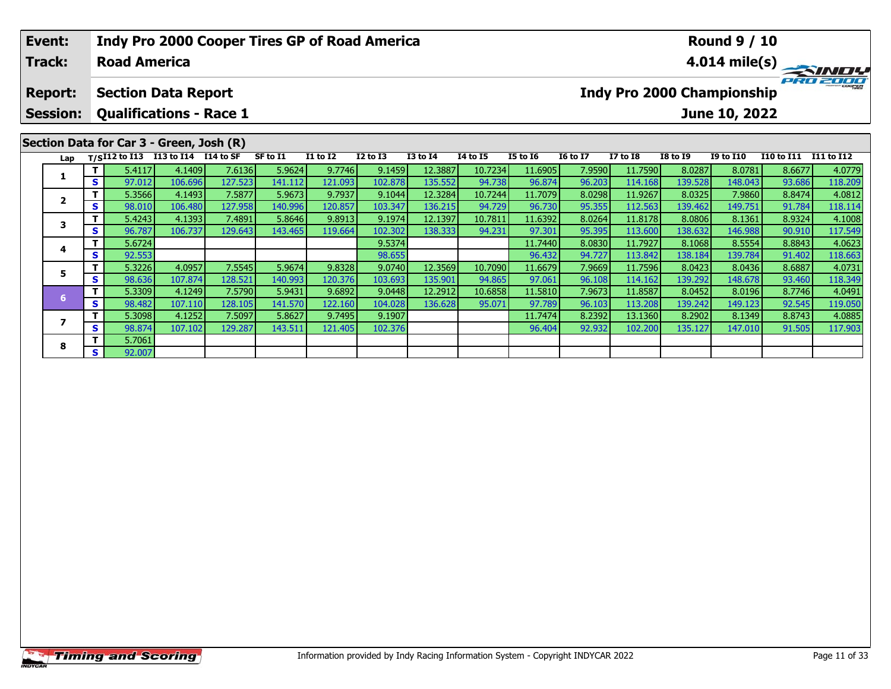| Event:<br><b>Track:</b>           |    | <b>Road America</b> | <b>Indy Pro 2000 Cooper Tires GP of Road America</b>         |         |          |                 |                 |                 |                 |                 |                 |                 |                                   | <b>Round 9 / 10</b> |                   | $4.014 \text{ mile(s)} \rightarrow 4.014 \text{ mile(s)}$ |
|-----------------------------------|----|---------------------|--------------------------------------------------------------|---------|----------|-----------------|-----------------|-----------------|-----------------|-----------------|-----------------|-----------------|-----------------------------------|---------------------|-------------------|-----------------------------------------------------------|
| <b>Report:</b><br><b>Session:</b> |    |                     | <b>Section Data Report</b><br><b>Qualifications - Race 1</b> |         |          |                 |                 |                 |                 |                 |                 |                 | <b>Indy Pro 2000 Championship</b> | June 10, 2022       |                   | PRO 2000                                                  |
|                                   |    |                     | Section Data for Car 3 - Green, Josh (R)                     |         |          |                 |                 |                 |                 |                 |                 |                 |                                   |                     |                   |                                                           |
| Lap                               |    |                     | T/SI12 to I13 I13 to I14 $\overline{114}$ to SF              |         | SF to I1 | <b>I1 to I2</b> | <b>I2 to I3</b> | <b>I3 to I4</b> | <b>I4 to I5</b> | <b>I5 to 16</b> | <b>16 to 17</b> | <b>I7 to I8</b> | <b>I8 to 19</b>                   | <b>I9 to I10</b>    | <b>I10 to I11</b> | I11 to I12                                                |
|                                   |    | 5.4117              | 4.1409                                                       | 7.6136  | 5.9624   | 9.7746          | 9.1459          | 12.3887         | 10.7234         | 11.6905         | 7.9590          | 11.7590         | 8.0287                            | 8.0781              | 8.6677            | 4.0779                                                    |
|                                   | S. | 97.012              | 106.696                                                      | 127.523 | 141.112  | 121.093         | 102.878         | 135.552         | 94.738          | 96.874          | 96.203          | 114.168         | 139.528                           | 148.043             | 93.686            | 118.209                                                   |
| $\overline{\mathbf{2}}$           |    | 5.3566              | 4.1493                                                       | 7.5877  | 5.9673   | 9.7937          | 9.1044          | 12.3284         | 10.7244         | 11.7079         | 8.0298          | 11.9267         | 8.0325                            | 7.9860              | 8.8474            | 4.0812                                                    |
|                                   | S. | 98.010              | 106.480                                                      | 127.958 | 140.996  | 120.857         | 103.347         | 136.215         | 94.729          | 96.730          | 95.355          | 112.563         | 139.462                           | 149.751             | 91.784            | 118.114                                                   |
| 3                                 |    | 5.4243              | 4.1393                                                       | 7.4891  | 5.8646   | 9.8913          | 9.1974          | 12.1397         | 10.7811         | 11.6392         | 8.0264          | 11.8178         | 8.0806                            | 8.1361              | 8.9324            | 4.1008                                                    |
|                                   | S  | 96.787              | 106.737                                                      | 129.643 | 143.465  | 119.664         | 102.302         | 138.333         | 94.231          | 97.301          | 95.395          | 113.600         | 138.632                           | 146.988             | 90.910            | 117.549                                                   |
|                                   |    | 5.6724              |                                                              |         |          |                 | 9.5374          |                 |                 | 11.7440         | 8.0830          | 11.7927         | 8.1068                            | 8.5554              | 8.8843            | 4.0623                                                    |
| 4                                 | S. | 92.553              |                                                              |         |          |                 | 98.655          |                 |                 | 96.432          | 94.727          | 113.842         | 138.184                           | 139.784             | 91.402            | 118.663                                                   |
| 5                                 |    | 5.3226              | 4.0957                                                       | 7.5545  | 5.9674   | 9.8328          | 9.0740          | 12.3569         | 10.7090         | 11.6679         | 7.9669          | 11.7596         | 8.0423                            | 8.0436              | 8.6887            | 4.0731                                                    |
|                                   | S  | 98.636              | 107.874                                                      | 128.521 | 140.993  | 120.376         | 103.693         | 135.901         | 94.865          | 97.061          | 96.108          | 114.162         | 139.292                           | 148.678             | 93.460            | 118.349                                                   |

6 T | 5.3309 4.1249 7.5790 5.9431 9.6892 9.0448 12.2912 10.6858 11.5810 7.9673 11.8587 8.0452 8.0196 8.7746 4.0491<br>S 98.482 107.110 128.105 141.570 122.160 104.028 136.628 95.071 97.789 96.103 113.208 139.242 149.123 92.54

**<sup>T</sup>** 5.3098 4.1252 7.5097 5.8627 9.7495 9.1907 11.7474 8.2392 13.1360 8.2902 8.1349 8.8743 4.0885 **<sup>S</sup>** 98.874 107.102 129.287 143.511 121.405 102.376 96.404 92.932 102.200 135.127 147.010 91.505 117.903

**7**

**8**

**<sup>T</sup>** 5.7061 **<sup>S</sup>** 92.007

119.050<br>4.0885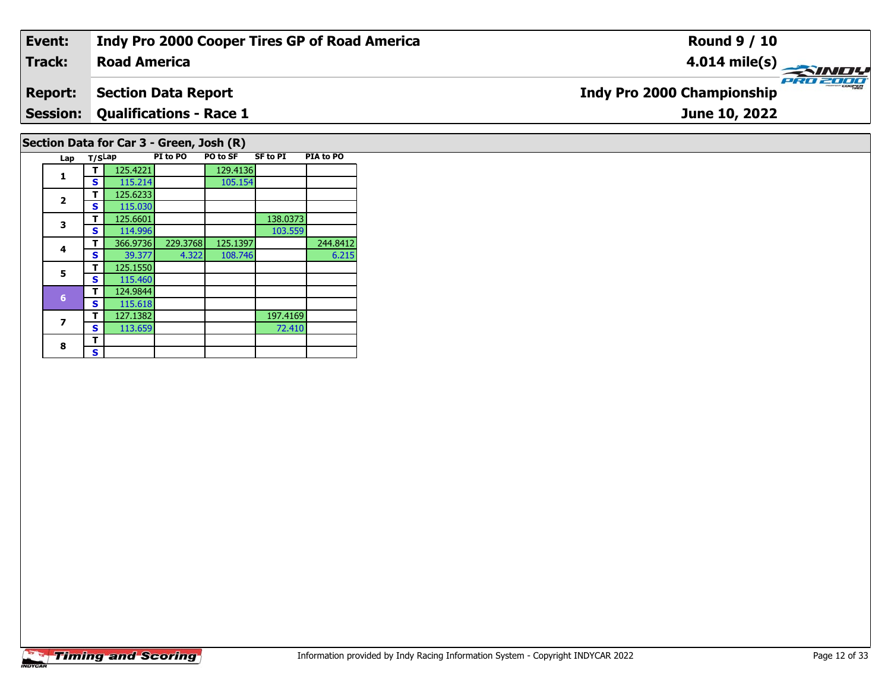## **Event: Indy Pro 2000 Cooper Tires GP of Road America Round 9 / 10Road America4.014 mile(s) Track:** PRO 2000 **Report: Section Data Report Indy Pro 2000 Championship Qualifications - Race 1 Session:June 10, 2022 Section Data for Car 3 - Green, Josh (R)**

| Lap          | T/SLap |          | PI to PO | PO to SF | <b>SF to PI</b> | PIA to PO |
|--------------|--------|----------|----------|----------|-----------------|-----------|
| 1            |        | 125.4221 |          | 129.4136 |                 |           |
|              | S      | 115.214  |          | 105.154  |                 |           |
| $\mathbf{2}$ | т      | 125.6233 |          |          |                 |           |
|              | S      | 115.030  |          |          |                 |           |
| 3            | т      | 125.6601 |          |          | 138.0373        |           |
|              | S      | 114.996  |          |          | 103.559         |           |
| 4            | т      | 366.9736 | 229.3768 | 125.1397 |                 | 244.8412  |
|              | S      | 39.377   | 4.322    | 108.746  |                 | 6.215     |
| 5            | т      | 125.1550 |          |          |                 |           |
|              | S      | 115.460  |          |          |                 |           |
| 6            | т      | 124.9844 |          |          |                 |           |
|              | S      | 115.618  |          |          |                 |           |
| 7            | т      | 127.1382 |          |          | 197.4169        |           |
|              | S      | 113.659  |          |          | 72.410          |           |
| 8            | т      |          |          |          |                 |           |
|              | S      |          |          |          |                 |           |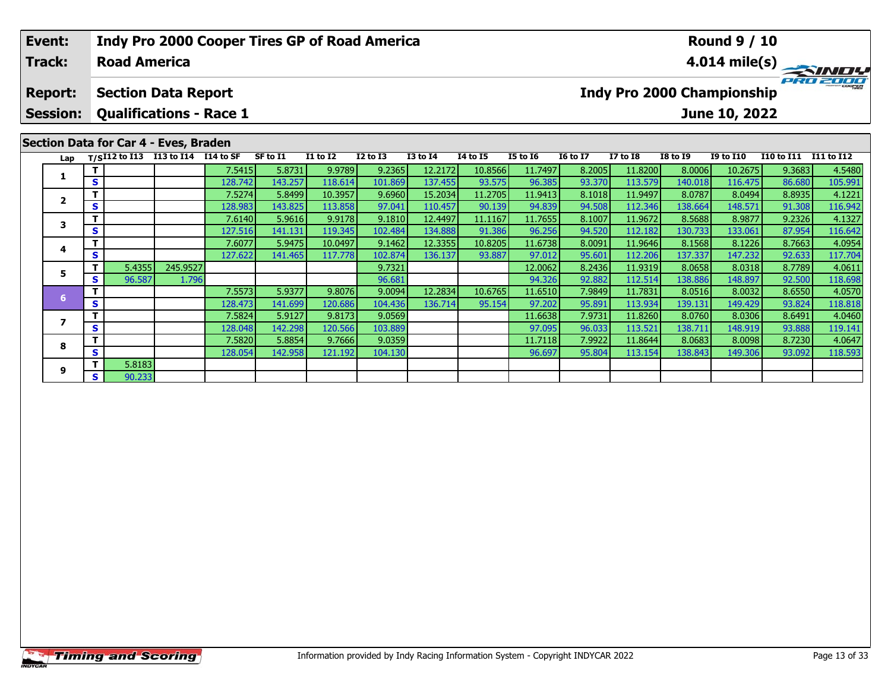## **Event:Round 9 / 10 Indy Pro 2000 Cooper Tires GP of Road America Track:Road America4.014 mile(s)** PRO 2000 **Report: Section Data Report Indy Pro 2000 Championship Session: Qualifications - Race 1 June 10, 2022 Section Data for Car 4 - Eves, Braden Lap T/SI12 to I13 I13 to I14 I14 to SF SF to I1 I1 to I2 I2 to I3 I3 to I4 I4 to I5 I5 to I6 I6 to I7 I7 to I8 I8 to I9 I9 to I10 I10 to I11 I11 to I12 <sup>T</sup>** 7.5415 5.8731 9.9789 9.2365 12.2172 10.8566 11.7497 8.2005 11.8200 8.0006 10.2675 9.3683 4.5480 **<sup>S</sup>** 128.742 143.257 118.614 101.869 137.455 93.575 96.385 93.370 113.579 140.018 116.475 86.680 105.991**1 <sup>T</sup>** 7.5274 5.8499 10.3957 9.6960 15.2034 11.2705 11.9413 8.1018 11.9497 8.0787 8.0494 8.8935 4.1221 **<sup>S</sup>** 128.983 143.825 113.858 97.041 110.457 90.139 94.839 94.508 112.346 138.664 148.571 91.308 116.942**2**116.942 **<sup>T</sup>** 7.6140 5.9616 9.9178 9.1810 12.4497 11.1167 11.7655 8.1007 11.9672 8.5688 8.9877 9.2326 4.1327 **<sup>S</sup>** 127.516 141.131 119.345 102.484 134.888 91.386 96.256 94.520 112.182 130.733 133.061 87.954 116.642**3 <sup>T</sup>** 7.6077 5.9475 10.0497 9.1462 12.3355 10.8205 11.6738 8.0091 11.9646 8.1568 8.1226 8.7663 4.0954 **<sup>S</sup>** 127.622 141.465 117.778 102.874 136.137 93.887 97.012 95.601 112.206 137.337 147.232 92.633 117.704**4**117.704

**<sup>T</sup>** 5.4355 245.9527 9.7321 12.0062 8.2436 11.9319 8.0658 8.0318 8.7789 4.0611 **<sup>S</sup>** 96.587 1.796 96.681 94.326 92.882 112.514 138.886 148.897 92.500 118.698

**<sup>T</sup>** 7.5573 5.9377 9.8076 9.0094 12.2834 10.6765 11.6510 7.9849 11.7831 8.0516 8.0032 8.6550 4.0570 **<sup>S</sup>** 128.473 141.699 120.686 104.436 136.714 95.154 97.202 95.891 113.934 139.131 149.429 93.824 118.818

**<sup>T</sup>** 7.5824 5.9127 9.8173 9.0569 11.6638 7.9731 11.8260 8.0760 8.0306 8.6491 4.0460 **<sup>S</sup>** 128.048 142.298 120.566 103.889 97.095 96.033 113.521 138.711 148.919 93.888 119.141

**<sup>T</sup>** 7.5820 5.8854 9.7666 9.0359 11.7118 7.9922 11.8644 8.0683 8.0098 8.7230 4.0647 **<sup>S</sup>** 128.054 142.958 121.192 104.130 96.697 95.804 113.154 138.843 149.306 93.092 118.593

**5**

**6**

**7**

**8**

**9**

**<sup>T</sup>** 5.8183 **<sup>S</sup>** 90.233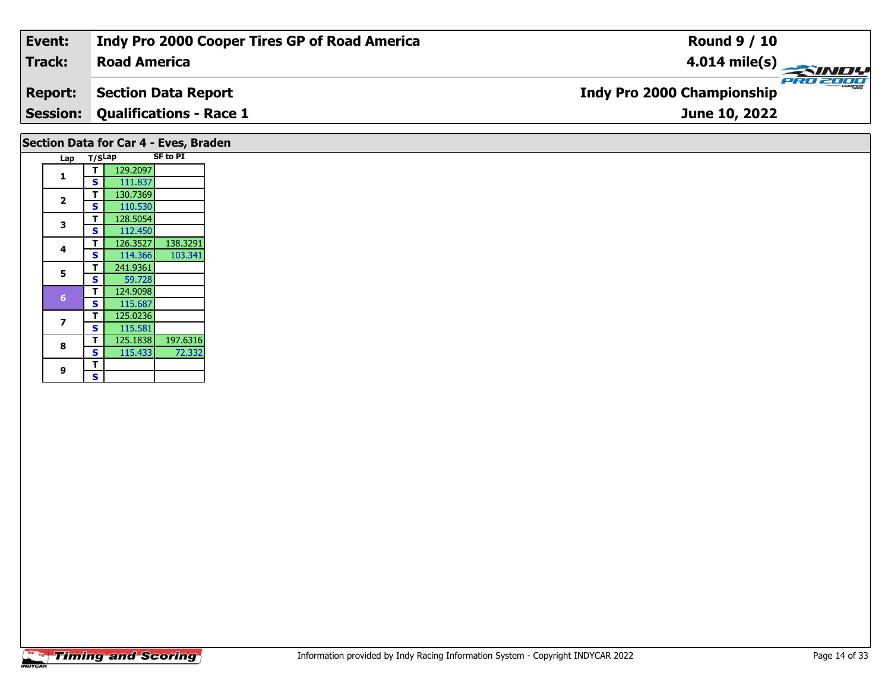| Event:         | Indy Pro 2000 Cooper Tires GP of Road America | <b>Round 9 / 10</b>                           |
|----------------|-----------------------------------------------|-----------------------------------------------|
| Track:         | <b>Road America</b>                           |                                               |
| <b>Report:</b> | <b>Section Data Report</b>                    | PRO 2000<br><b>Indy Pro 2000 Championship</b> |
|                | <b>Session: Qualifications - Race 1</b>       | June 10, 2022                                 |
|                | Section Data for Car 4 - Eves, Braden         |                                               |

| Lap                     | T/SLap |          | <b>SF to PI</b> |
|-------------------------|--------|----------|-----------------|
| 1                       | т      | 129.2097 |                 |
|                         | S      | 111.837  |                 |
| $\overline{\mathbf{2}}$ | т      | 130.7369 |                 |
|                         | S      | 110.530  |                 |
| 3                       | т      | 128.5054 |                 |
|                         | S      | 112.450  |                 |
| 4                       | т      | 126.3527 | 138.3291        |
|                         | S      | 114.366  | 103.341         |
| 5                       | т      | 241.9361 |                 |
|                         | S      | 59.728   |                 |
| 6                       | т      | 124.9098 |                 |
|                         | S      | 115.687  |                 |
| 7                       | т      | 125.0236 |                 |
|                         | S      | 115.581  |                 |
| 8                       | т      | 125.1838 | 197.6316        |
|                         | S      | 115.433  | 72.332          |
| 9                       | т      |          |                 |
|                         | S      |          |                 |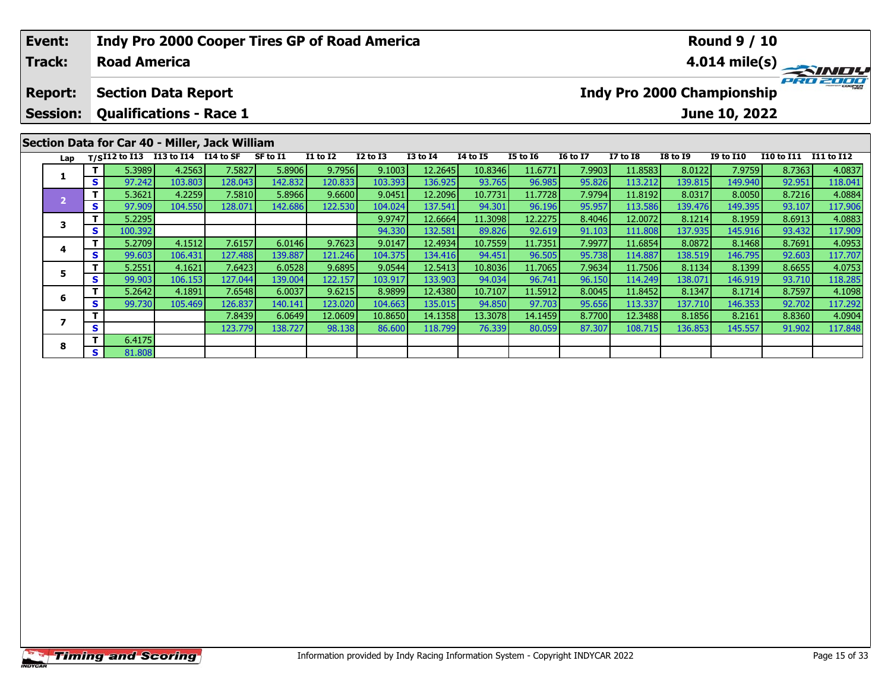# **Event:Round 9 / 10 Indy Pro 2000 Cooper Tires GP of Road America Track:Road America4.014 mile(s)** PRO 2000 **Report: Section Data Report Indy Pro 2000 Championship Session: Qualifications - Race 1 June 10, 2022 Section Data for Car 40 - Miller, Jack William Lap T/SI12 to I13 I13 to I14 I14 to SF SF to I1 I1 to I2 I2 to I3 I3 to I4 I4 to I5 I5 to I6 I6 to I7 I7 to I8 I8 to I9 I9 to I10 I10 to I11 I11 to I12**  1 | T | 5.3989 | 4.2563 | 7.5827 | 5.8906 | 9.7956 | 9.1003 | 12.2645 | 10.8346 | 11.6771 | 7.9903 | 11.8583 | 8.0122 | 7.9759 | 8.7363 | 4.0837<br>1 | S | 97.242 | 103.803 | 128.043 | 142.832 | 120.833 | 103.393 | 136.925 | **1**– 1 5.3621 4.2259 7.5810 5.8966 9.6600 9.0451 12.2096 10.7731 11.7728 7.9794 11.8192 8.0317 8.0050 8.7216 4.0884<br>- 1 5 97.909 104.550 128.071 142.686 122.530 104.024 137.541 94.301 96.196 95.957 113.586 139.476 149.395 93. **2 <sup>T</sup>** 5.2295 9.9747 12.6664 11.3098 12.2275 8.4046 12.0072 8.1214 8.1959 8.6913 4.0883 **<sup>S</sup>** 100.392 94.330 132.581 89.826 92.619 91.103 111.808 137.935 145.916 93.432 117.909**3**4 | **T** | 5.2709| 4.1512| 7.6157| 6.0146| 9.7623| 9.0147| 12.4934| 10.7559| 11.7351| 7.9977| 11.6854| 8.0872| 8.1468| 8.7691| 4.0953<br>- S | 99.603| 106.431| 127.488| 139.887| 121.246| 104.375| 134.416| 94.451| 96.505| 95.73 **4**117.707

5 | T | 5.2551 4.1621 7.6423 6.0528 9.6895 9.0544 12.5413 10.8036 11.7065 7.9634 11.7506 8.1134 8.1399 8.6655 4.0753<br>S | S | 99.903 106.153 127.044 139.004 122.157 103.917 133.903 94.034 96.741 96.150 114.249 138.071 146.9

**<sup>T</sup>** 5.2642 4.1891 7.6548 6.0037 9.6215 8.9899 12.4380 10.7107 11.5912 8.0045 11.8452 8.1347 8.1714 8.7597 4.1098 **<sup>S</sup>** 99.730 105.469 126.837 140.141 123.020 104.663 135.015 94.850 97.703 95.656 113.337 137.710 146.353 92.702 117.292

**<sup>T</sup>** 7.8439 6.0649 12.0609 10.8650 14.1358 13.3078 14.1459 8.7700 12.3488 8.1856 8.2161 8.8360 4.0904 **<sup>S</sup>** 123.779 138.727 98.138 86.600 118.799 76.339 80.059 87.307 108.715 136.853 145.557 91.902 117.848

**5**

**6**

**7**

**8**

**<sup>T</sup>** 6.4175 **<sup>S</sup>** 81.808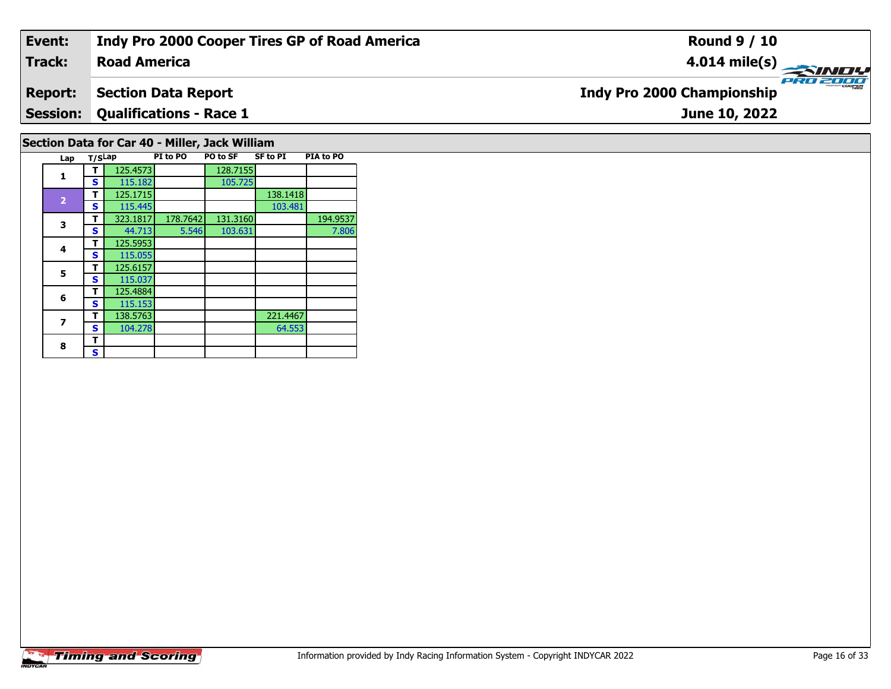#### **Event: Indy Pro 2000 Cooper Tires GP of Road America Round 9 / 10Road America4.014 mile(s) Track:** PRO 2001 **Section Data Report Report: Indy Pro 2000 Championship Qualifications - Race 1 Session:June 10, 2022**

# **Section Data for Car 40 - Miller, Jack William**

| Lap                     | T/SLap |          | PI to PO | PO to SF | <b>SF to PI</b> | PIA to PO |
|-------------------------|--------|----------|----------|----------|-----------------|-----------|
| 1                       | т      | 125.4573 |          | 128.7155 |                 |           |
|                         | S      | 115.182  |          | 105.725  |                 |           |
|                         | т      | 125.1715 |          |          | 138.1418        |           |
| $\overline{\mathbf{2}}$ | S      | 115.445  |          |          | 103.481         |           |
| 3                       | т      | 323.1817 | 178.7642 | 131.3160 |                 | 194.9537  |
|                         | S      | 44.713   | 5.546    | 103.631  |                 | 7.806     |
| 4                       | т      | 125.5953 |          |          |                 |           |
|                         | S      | 115.055  |          |          |                 |           |
| 5                       | т      | 125.6157 |          |          |                 |           |
|                         | S      | 115.037  |          |          |                 |           |
| 6                       | т      | 125.4884 |          |          |                 |           |
|                         | S      | 115.153  |          |          |                 |           |
| 7                       | т      | 138.5763 |          |          | 221.4467        |           |
|                         | S      | 104.278  |          |          | 64.553          |           |
| 8                       | т      |          |          |          |                 |           |
|                         | s      |          |          |          |                 |           |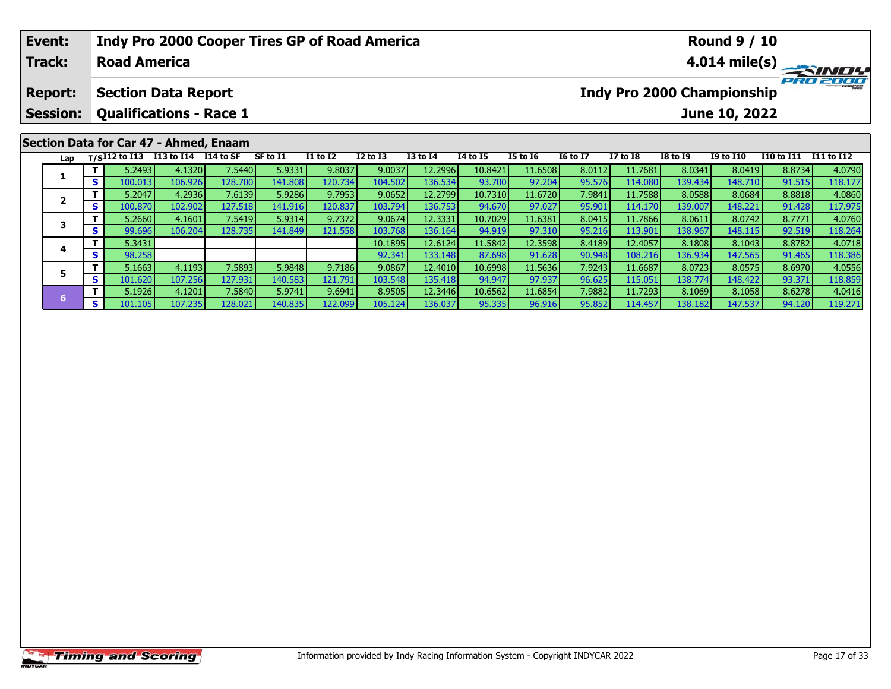| Event:<br><b>Track:</b>           |          | <b>Road America</b> |                                                              | Indy Pro 2000 Cooper Tires GP of Road America |                   |                   |                   |                    |                   |                   |                  |                    |                   | <b>Round 9 / 10</b>                                |                  | $4.014$ mile(s)   |
|-----------------------------------|----------|---------------------|--------------------------------------------------------------|-----------------------------------------------|-------------------|-------------------|-------------------|--------------------|-------------------|-------------------|------------------|--------------------|-------------------|----------------------------------------------------|------------------|-------------------|
| <b>Report:</b><br><b>Session:</b> |          |                     | <b>Section Data Report</b><br><b>Qualifications - Race 1</b> |                                               |                   |                   |                   |                    |                   |                   |                  |                    |                   | <b>Indy Pro 2000 Championship</b><br>June 10, 2022 |                  | PRO 2000          |
|                                   |          | Lap $T/SI12$ to I13 | I13 to I14 I14 to SF                                         | Section Data for Car 47 - Ahmed, Enaam        | SF to I1          | <b>I1 to I2</b>   | $I2$ to $I3$      | $I3$ to $I4$       | <b>I4 to I5</b>   | <b>I5 to 16</b>   | <b>16 to 17</b>  | <b>I7 to I8</b>    | <b>I8 to I9</b>   | I9 to I10                                          | I10 to I11       | I11 to I12        |
|                                   |          | 5.2493              | 4.1320                                                       | 7.5440                                        | 5.9331            | 9.8037            | 9.0037            | 12.2996            | 10.8421           | 11.6508           | 8.0112           | 11.7681            | 8.0341            | 8.0419                                             | 8.8734           | 4.0790            |
|                                   | s l      | 100.013<br>5.2047   | 106.926<br>4.2936                                            | 128.700<br>7.6139                             | 141.808<br>5.9286 | 120.734<br>9.7953 | 104.502<br>9.0652 | 136.534<br>12.2799 | 93.700<br>10.7310 | 97.204<br>11.6720 | 95.576<br>7.9841 | 114.080<br>11.7588 | 139.434<br>8.0588 | 148.710<br>8.0684                                  | 91.515<br>8.8818 | 118.177<br>4.0860 |
| 2                                 | <b>S</b> | 100.870             | 102.902                                                      | 127.518                                       | 141.916           | 120.837           | 103.794           | 136.753            | 94.670            | 97.027            | 95.901           | 114.170            | 139.007           | 148.221                                            | 91.428           | 117.975           |

3 T 5.2660 4.1601 7.5419 5.9314 9.7372 9.0674 12.3331 10.7029 11.6381 8.0415 11.7866 8.0611 8.0742 8.7771 4.0760<br>S S 99.696 106.204 128.735 141.849 121.558 103.768 136.164 94.919 97.310 95.216 113.901 138.967 148.115 92.51

**<sup>T</sup>** 5.3431 10.1895 12.6124 11.5842 12.3598 8.4189 12.4057 8.1808 8.1043 8.8782 4.0718 **<sup>S</sup>** 98.258 92.341 133.148 87.698 91.628 90.948 108.216 136.934 147.565 91.465 118.386

**<sup>T</sup>** 5.1663 4.1193 7.5893 5.9848 9.7186 9.0867 12.4010 10.6998 11.5636 7.9243 11.6687 8.0723 8.0575 8.6970 4.0556 **<sup>S</sup>** 101.620 107.256 127.931 140.583 121.791 103.548 135.418 94.947 97.937 96.625 115.051 138.774 148.422 93.371 118.859

6 11 5.1926| 4.1201| 7.5840| 5.9741| 9.6941| 8.9505| 12.3446| 10.6562| 11.6854| 7.9882| 11.7293| 8.1069| 8.1058| 8.6278| 4.0416<br>| 10.1.105| 107.235| 128.021| 140.835| 122.099| 105.124| 136.037| 95.335| 96.916| 95.852| 114.

**3**

**4**

**5**

**6**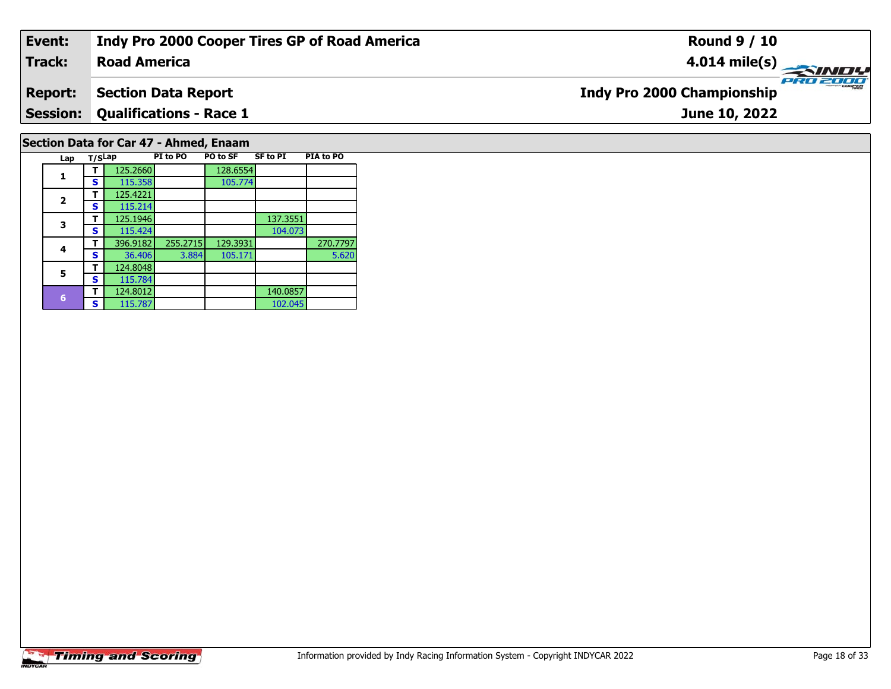#### **Event: Indy Pro 2000 Cooper Tires GP of Road America Round 9 / 10Road America4.014 mile(s) Track:** PRO 2000 **Indy Pro 2000 Championship Report: Section Data Report Qualifications - Race 1 Session:June 10, 2022 Section Data for Car 47 - Ahmed, Enaam**

| Lap            | T/SLap |          | PI to PO | PO to SF | <b>SF to PI</b> | PIA to PO |
|----------------|--------|----------|----------|----------|-----------------|-----------|
|                |        | 125.2660 |          | 128.6554 |                 |           |
| 1              | s      | 115.358  |          | 105.774  |                 |           |
| $\overline{2}$ | т      | 125.4221 |          |          |                 |           |
|                | S      | 115.214  |          |          |                 |           |
| 3              | т      | 125.1946 |          |          | 137.3551        |           |
|                | S      | 115.424  |          |          | 104.073         |           |
| 4              | т      | 396.9182 | 255.2715 | 129.3931 |                 | 270.7797  |
|                | S      | 36.406   | 3.884    | 105.171  |                 | 5.620     |
| 5              |        | 124.8048 |          |          |                 |           |
|                | S      | 115.784  |          |          |                 |           |
| 6              | т      | 124.8012 |          |          | 140.0857        |           |
|                | s      | 115.787  |          |          | 102.045         |           |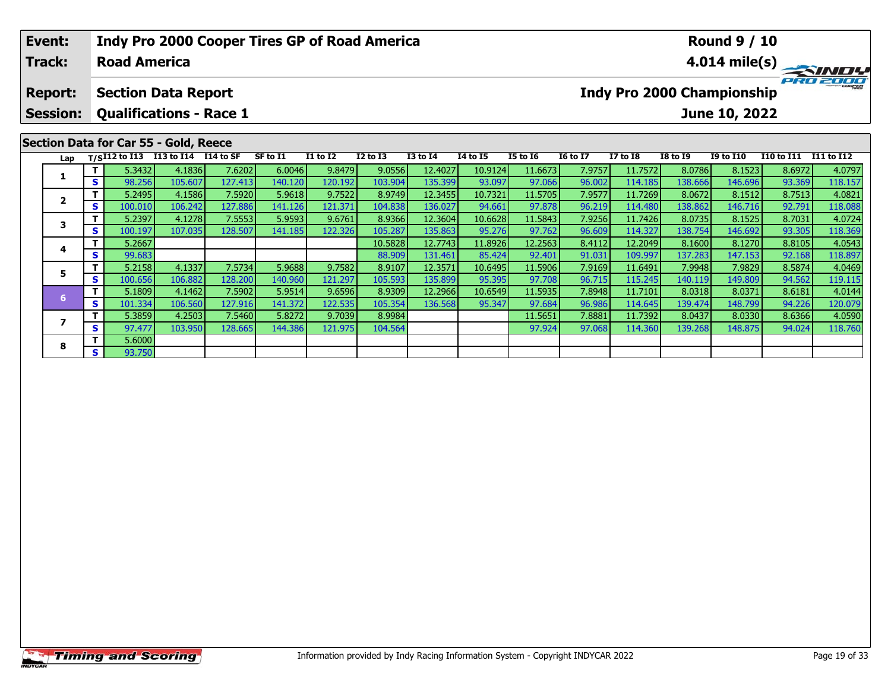## **Event:Round 9 / 10 Indy Pro 2000 Cooper Tires GP of Road America Track:Road America4.014 mile(s)** PRO 2000 **Report: Section Data Report Indy Pro 2000 Championship Session: Qualifications - Race 1 June 10, 2022 Section Data for Car 55 - Gold, Reece Lap T/SI12 to I13 I13 to I14 I14 to SF SF to I1 I1 to I2 I2 to I3 I3 to I4 I4 to I5 I5 to I6 I6 to I7 I7 to I8 I8 to I9 I9 to I10 I10 to I11 I11 to I12**  1 | T | 5.3432 | 4.1836 | 7.6202 | 6.0046 | 9.8479 | 9.0556 | 12.4027 | 10.9124 | 11.6673 | 7.9757 | 11.7572 | 8.0786 | 8.1523 | 8.6972 | 4.0797<br>1 | S | 98.256 | 105.607 |127.413 | 140.120 | 120.192 | 103.904 | 135.399 | 9 **1**2 | T | 5.2495| 4.1586| 7.5920| 5.9618| 9.7522| 8.9749| 12.3455| 10.7321| 11.5705| 7.9577| 11.7269| 8.0672| 8.1512| 8.7513| 4.0821<br>2 | S | 100.010 106.242 127.886 141.126 121.371 104.838 136.027| 94.661| 97.878| 96.219| 11 **2**118.088 3 T 5.2397 4.1278 7.5553 5.9593 9.6761 8.9366 12.3604 10.6628 11.5843 7.9256 11.7426 8.0735 8.1525 8.7031 4.0724<br>S S 100.197 107.035 128.507 141.185 122.326 105.287 135.863 95.276 97.762 96.609 114.327 138.754 146.692 93.3 **3 <sup>T</sup>** 5.2667 10.5828 12.7743 11.8926 12.2563 8.4112 12.2049 8.1600 8.1270 8.8105 4.0543 **<sup>S</sup>** 99.683 88.909 131.461 85.424 92.401 91.031 109.997 137.283 147.153 92.168 118.897**4**118.897

5 | T | 5.2158| 4.1337| 7.5734| 5.9688| 9.7582| 8.9107| 12.3571| 10.6495| 11.5906| 7.9169| 11.6491| 7.9948| 7.9829| 8.5874| 4.0469<br>| S | 100.656 106.882 128.200 140.960 121.297 105.593| 135.899| 95.395| 97.708| 96.715| 115

6 T | 5.1809 4.1462 7.5902 5.9514 9.6596 8.9309 12.2966 10.6549 11.5935 7.8948 11.7101 8.0318 8.0371 8.6181 4.0144<br>5 S 101.334 106.560 127.916 141.372 122.535 105.354 136.568 95.347 97.684 96.986 114.645 139.474 148.799 94

**<sup>T</sup>** 5.3859 4.2503 7.5460 5.8272 9.7039 8.9984 11.5651 7.8881 11.7392 8.0437 8.0330 8.6366 4.0590 **<sup>S</sup>** 97.477 103.950 128.665 144.386 121.975 104.564 97.924 97.068 114.360 139.268 148.875 94.024 118.760

**5**

**6**

**7**

**8**

**<sup>T</sup>** 5.6000 **<sup>S</sup>** 93.750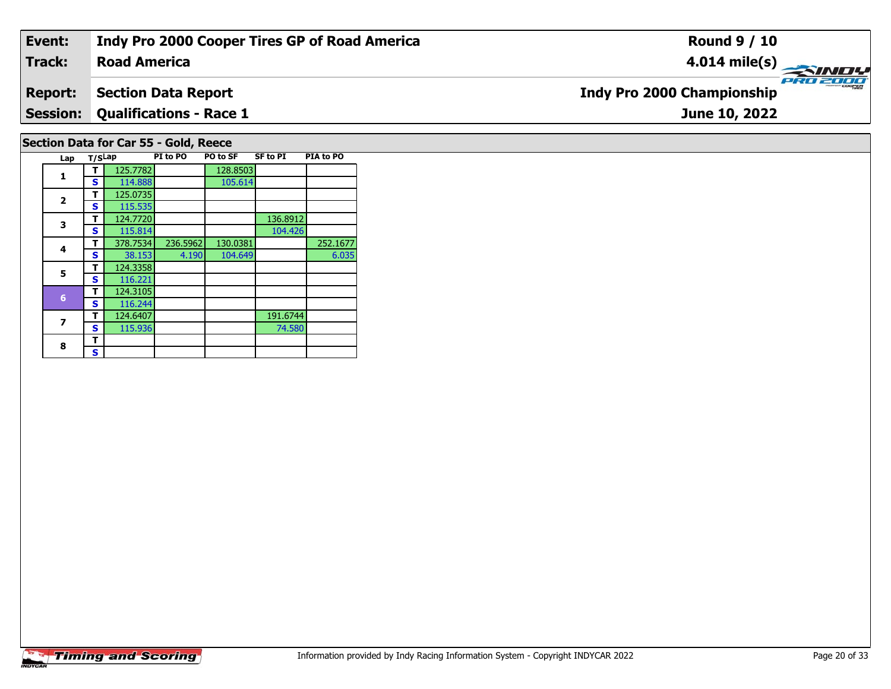#### **Event: Indy Pro 2000 Cooper Tires GP of Road America Round 9 / 10Road America4.014 mile(s) Track:** PRO 2001 **Report: Section Data Report Indy Pro 2000 Championship Qualifications - Race 1 Session:June 10, 2022 Section Data for Car 55 - Gold, Reece**

| Lap            | T/SLap |          | PI to PO | PO to SF | SF to PI | PIA to PO |
|----------------|--------|----------|----------|----------|----------|-----------|
| 1              |        | 125.7782 |          | 128.8503 |          |           |
|                | S      | 114.888  |          | 105.614  |          |           |
|                | т      | 125.0735 |          |          |          |           |
| $\overline{2}$ | s      | 115.535  |          |          |          |           |
| 3              | т      | 124.7720 |          |          | 136.8912 |           |
|                | S      | 115.814  |          |          | 104.426  |           |
| 4              | т      | 378.7534 | 236.5962 | 130.0381 |          | 252.1677  |
|                | s      | 38.153   | 4.190    | 104.649  |          | 6.035     |
| 5              | т      | 124.3358 |          |          |          |           |
|                | S      | 116.221  |          |          |          |           |
| 6              | т      | 124.3105 |          |          |          |           |
|                | S      | 116.244  |          |          |          |           |
| 7              | т      | 124.6407 |          |          | 191.6744 |           |
|                | S      | 115.936  |          |          | 74.580   |           |
| 8              | т      |          |          |          |          |           |
|                | S      |          |          |          |          |           |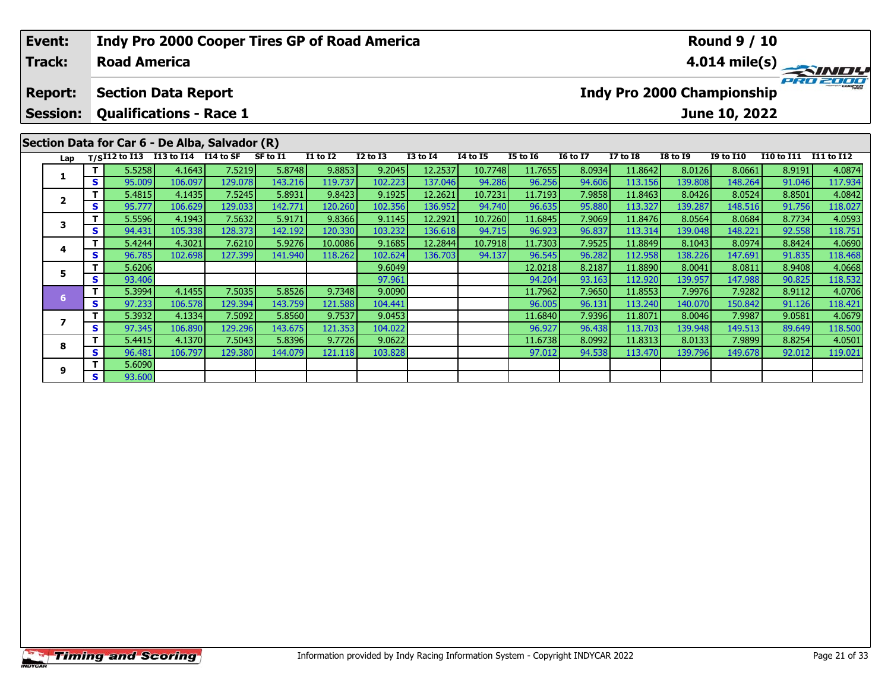|  | Event:<br><b>Track:</b>       |                  | <b>Road America</b>        |                                                                                                                                                                                                                                                                                                                          |         | <b>Indy Pro 2000 Cooper Tires GP of Road America</b> |                   |                    |                   |                   |                  |                    |                   |                                   | <b>Round 9 / 10</b> |                   | $\frac{4.014 \text{ mile(s)}}{PRT \cdot 2000}$ |
|--|-------------------------------|------------------|----------------------------|--------------------------------------------------------------------------------------------------------------------------------------------------------------------------------------------------------------------------------------------------------------------------------------------------------------------------|---------|------------------------------------------------------|-------------------|--------------------|-------------------|-------------------|------------------|--------------------|-------------------|-----------------------------------|---------------------|-------------------|------------------------------------------------|
|  | <b>Report:</b>                |                  | <b>Section Data Report</b> |                                                                                                                                                                                                                                                                                                                          |         |                                                      |                   |                    |                   |                   |                  |                    |                   | <b>Indy Pro 2000 Championship</b> |                     |                   |                                                |
|  | <b>Session:</b>               |                  |                            |                                                                                                                                                                                                                                                                                                                          |         |                                                      |                   |                    |                   |                   |                  |                    |                   |                                   | June 10, 2022       |                   |                                                |
|  |                               |                  |                            | <b>Qualifications - Race 1</b><br>Section Data for Car 6 - De Alba, Salvador (R)<br>$T/SI12$ to I13 I13 to I14 I14 to SF<br>SF to I1<br>I1 to I2<br>4.1643<br>9.8853<br>7.5219<br>5.8748<br>143.216<br>106.097<br>129.078<br>119.737<br>4.1435<br>7.5245<br>5.8931<br>9.8423<br>142.771<br>120.260<br>106.629<br>129.033 |         |                                                      |                   |                    |                   |                   |                  |                    |                   |                                   |                     |                   |                                                |
|  | Lap                           |                  |                            |                                                                                                                                                                                                                                                                                                                          |         |                                                      |                   | <b>I2 to I3</b>    | <b>I3 to I4</b>   | <b>14 to 15</b>   | <b>I5 to 16</b>  | <b>16 to 17</b>    | <b>I7 to I8</b>   | <b>I8 to I9</b>                   | <b>I9 to I10</b>    | <b>I10 to I11</b> | I11 to I12                                     |
|  | 1<br>S<br>$\overline{2}$<br>S | 5.5258<br>95.009 |                            |                                                                                                                                                                                                                                                                                                                          |         |                                                      | 9.2045<br>102.223 | 12.2537<br>137.046 | 10.7748<br>94.286 | 11.7655<br>96.256 | 8.0934<br>94.606 | 11.8642<br>113.156 | 8.0126<br>139.808 | 8.0661<br>148.264                 | 8.9191<br>91.046    | 4.0874<br>117.934 |                                                |
|  |                               | 5.4815           |                            |                                                                                                                                                                                                                                                                                                                          |         |                                                      | 9.1925            | 12.2621            | 10.7231           | 11.7193           | 7.9858           | 11.8463            | 8.0426            | 8.0524                            | 8.8501              | 4.0842            |                                                |
|  |                               |                  | 95.777                     |                                                                                                                                                                                                                                                                                                                          |         |                                                      |                   | 102.356            | 136.952           | 94.740            | 96.635           | 95.880             | 113.327           | 139.287                           | 148.516             | 91.756            | 118.027                                        |
|  |                               |                  | 5.5596                     | 4.1943                                                                                                                                                                                                                                                                                                                   | 7.5632  | 5.9171                                               | 9.8366            | 9.1145             | 12.2921           | 10.7260           | 11.6845          | 7.9069             | 11.8476           | 8.0564                            | 8.0684              | 8.7734            | 4.0593                                         |
|  | 3<br>S<br>4<br>S<br>5<br>S    |                  | 94.431                     | 105.338                                                                                                                                                                                                                                                                                                                  | 128.373 | 142.192                                              | 120.330           | 103.232            | 136.618           | 94.715            | 96.923           | 96.837             | 113.314           | 139.048                           | 148.221             | 92.558            | 118.751                                        |
|  |                               |                  | 5.4244                     | 4.3021                                                                                                                                                                                                                                                                                                                   | 7.6210  | 5.9276                                               | 10.0086           | 9.1685             | 12.2844           | 10.7918           | 11.7303          | 7.9525             | 11.8849           | 8.1043                            | 8.0974              | 8.8424            | 4.0690                                         |
|  |                               |                  | 96.785                     | 102.698                                                                                                                                                                                                                                                                                                                  | 127.399 | 141.940                                              | 118.262           | 102.624            | 136.703           | 94.137            | 96.545           | 96.282             | 112.958           | 138.226                           | 147.691             | 91.835            | 118.468                                        |
|  |                               |                  | 5.6206                     |                                                                                                                                                                                                                                                                                                                          |         |                                                      |                   | 9.6049             |                   |                   | 12.0218          | 8.2187             | 11.8890           | 8.0041                            | 8.0811              | 8.9408            | 4.0668                                         |
|  |                               |                  | 93.406                     |                                                                                                                                                                                                                                                                                                                          |         |                                                      |                   | 97.961             |                   |                   | 94.204           | 93.163             | 112.920           | 139.957                           | 147.988             | 90.825            | 118.532                                        |
|  |                               | T.               | 5.3994                     | 4.1455                                                                                                                                                                                                                                                                                                                   | 7.5035  | 5.8526                                               | 9.7348            | 9.0090             |                   |                   | 11.7962          | 7.9650             | 11.8553           | 7.9976                            | 7.9282              | 8.9112            | 4.0706                                         |
|  | 6                             | S                | 97.233                     | 106.578                                                                                                                                                                                                                                                                                                                  | 129.394 | 143.759                                              | 121.588 <b>1</b>  | 104.441            |                   |                   | 96.005           | 96.131             | 113.240           | 140.070                           | 150.842             | 91.126            | 118.421                                        |

**<sup>T</sup>** 5.3932 4.1334 7.5092 5.8560 9.7537 9.0453 11.6840 7.9396 11.8071 8.0046 7.9987 9.0581 4.0679 **<sup>S</sup>** 97.345 106.890 129.296 143.675 121.353 104.022 96.927 96.438 113.703 139.948 149.513 89.649 118.500

**<sup>T</sup>** 5.4415 4.1370 7.5043 5.8396 9.7726 9.0622 11.6738 8.0992 11.8313 8.0133 7.9899 8.8254 4.0501 **<sup>S</sup>** 96.481 106.797 129.380 144.079 121.118 103.828 97.012 94.538 113.470 139.796 149.678 92.012 119.021

**7**

**8**

**9**

**<sup>T</sup>** 5.6090 **<sup>S</sup>** 93.600

118.421<br>4.0679

118.500<br>4.0501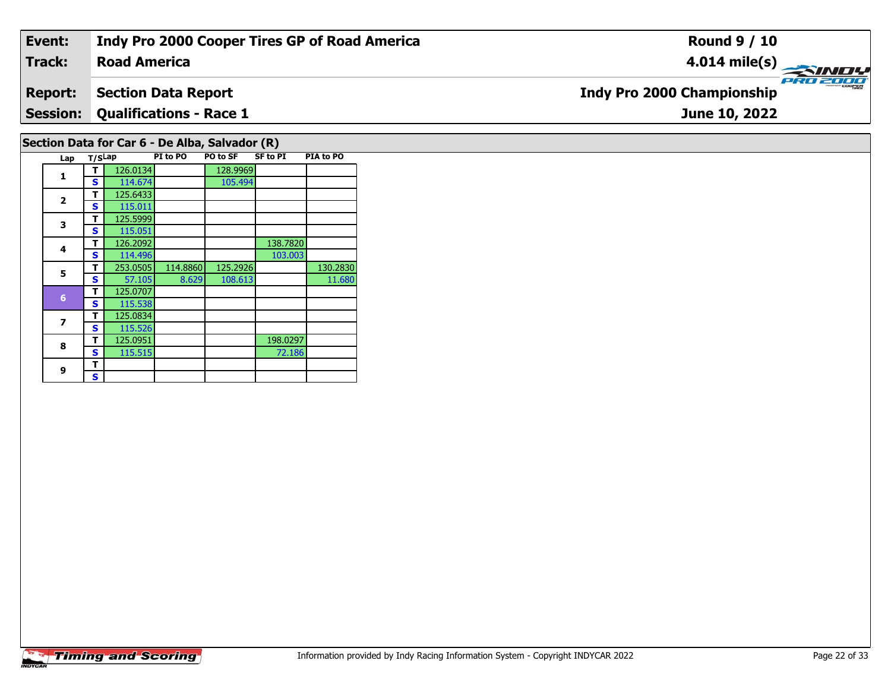#### **Event: Indy Pro 2000 Cooper Tires GP of Road America Round 9 / 10Road America4.014 mile(s) Track:** PRO 2000 **Indy Pro 2000 Championship Report: Section Data Report Qualifications - Race 1 Session:June 10, 2022 Section Data for Car 6 - De Alba, Salvador (R)**

| Lap                      | T/SLap |          | PI to PO | <b>PO to SF</b> | <b>SF to PI</b> | PIA to PO |
|--------------------------|--------|----------|----------|-----------------|-----------------|-----------|
|                          | т      | 126.0134 |          | 128.9969        |                 |           |
| 1<br>$\overline{2}$<br>3 | S      | 114.674  |          | 105.494         |                 |           |
|                          | т      | 125.6433 |          |                 |                 |           |
|                          | S      | 115.011  |          |                 |                 |           |
|                          | т      | 125.5999 |          |                 |                 |           |
|                          | S<br>т | 115.051  |          |                 |                 |           |
| 4                        |        | 126.2092 |          |                 | 138.7820        |           |
|                          | S      | 114.496  |          |                 | 103.003         |           |
| 5                        | т      | 253.0505 | 114.8860 | 125.2926        |                 | 130.2830  |
|                          | S      | 57.105   | 8.629    | 108.613         |                 | 11.680    |
| $6\phantom{1}$           | т      | 125.0707 |          |                 |                 |           |
|                          | S      | 115.538  |          |                 |                 |           |
| 7                        | т      | 125.0834 |          |                 |                 |           |
|                          | S      | 115.526  |          |                 |                 |           |
| 8                        | т      | 125.0951 |          |                 | 198.0297        |           |
|                          | S      | 115.515  |          |                 | 72.186          |           |
| 9                        | т      |          |          |                 |                 |           |
|                          | S      |          |          |                 |                 |           |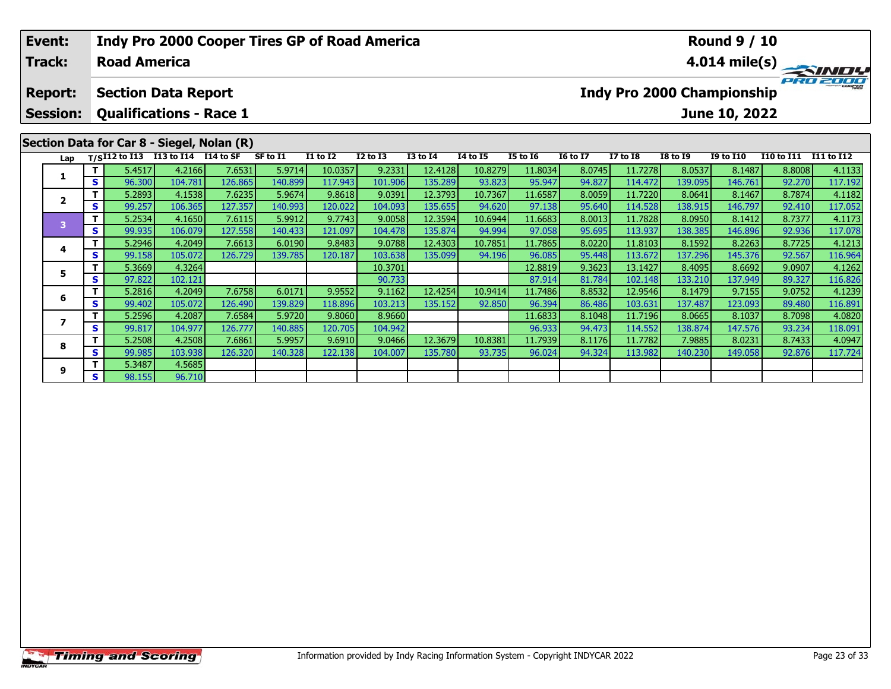|  | Event:<br><b>Track:</b>                                                                                                |        | <b>Road America</b>        |         | <b>Indy Pro 2000 Cooper Tires GP of Road America</b>                         |          |                 |              |                 |                 |                 |                 |                 |                                   | <b>Round 9 / 10</b> |            | $4.014 \text{ mile(s)}$ |
|--|------------------------------------------------------------------------------------------------------------------------|--------|----------------------------|---------|------------------------------------------------------------------------------|----------|-----------------|--------------|-----------------|-----------------|-----------------|-----------------|-----------------|-----------------------------------|---------------------|------------|-------------------------|
|  | <b>Report:</b>                                                                                                         |        | <b>Section Data Report</b> |         |                                                                              |          |                 |              |                 |                 |                 |                 |                 | <b>Indy Pro 2000 Championship</b> |                     |            | PRO 2000                |
|  | <b>Session:</b>                                                                                                        |        |                            |         | <b>Qualifications - Race 1</b><br>Section Data for Car 8 - Siegel, Nolan (R) |          |                 |              |                 |                 |                 |                 |                 |                                   | June 10, 2022       |            |                         |
|  |                                                                                                                        |        |                            |         |                                                                              | SF to I1 | <b>I1 to I2</b> | $I2$ to $I3$ | <b>I3 to I4</b> | <b>I4 to I5</b> | <b>I5 to 16</b> | <b>16 to 17</b> | <b>I7 to I8</b> | <b>I8 to I9</b>                   | <b>I9 to I10</b>    | I10 to I11 | <b>I11 to I12</b>       |
|  | Lap T/SI12 to I13 I13 to I14 I14 to SF<br>т.<br>S.<br>$\overline{2}$<br>S.<br>т<br>3<br>S.<br>4<br>S.<br>T.<br>5<br>S. |        | 5.4517                     | 4.2166  | 7.6531                                                                       | 5.9714   | 10.0357         | 9.2331       | 12.4128         | 10.8279         | 11.8034         | 8.0745          | 11.7278         | 8.0537                            | 8.1487              | 8.8008     | 4.1133                  |
|  |                                                                                                                        | 96.300 | 104.781                    | 126.865 | 140.899                                                                      | 117.943  | 101.906         | 135.289      | 93.823          | 95.947          | 94.827          | 114.472         | 139.095         | 146.761                           | 92.270              | 117.192    |                         |
|  |                                                                                                                        |        | 5.2893                     | 4.1538  | 7.6235                                                                       | 5.9674   | 9.8618          | 9.0391       | 12.3793         | 10.7367         | 11.6587         | 8.0059          | 11.7220         | 8.0641                            | 8.1467              | 8.7874     | 4.1182                  |
|  |                                                                                                                        |        | 99.257                     | 106.365 | 127.357                                                                      | 140.993  | 120.022         | 104.093      | 135.655         | 94.620          | 97.138          | 95.640          | 114.528         | 138.915                           | 146.797             | 92.410     | 117.052                 |
|  |                                                                                                                        |        | 5.2534                     | 4.1650  | 7.6115                                                                       | 5.9912   | 9.7743          | 9.0058       | 12.3594         | 10.6944         | 11.6683         | 8.0013          | 11.7828         | 8.0950                            | 8.1412              | 8.7377     | 4.1173                  |
|  |                                                                                                                        |        | 99.935                     | 106.079 | 127.558                                                                      | 140.433  | 121.097         | 104.478      | 135.874         | 94.994          | 97.058          | 95.695          | 113.937         | 138.385                           | 146.896             | 92.936     | 117.078                 |
|  |                                                                                                                        |        | 5.2946                     | 4.2049  | 7.6613                                                                       | 6.0190   | 9.8483          | 9.0788       | 12.4303         | 10.7851         | 11.7865         | 8.0220          | 11.8103         | 8.1592                            | 8.2263              | 8.7725     | 4.1213                  |
|  |                                                                                                                        |        | 99.158                     | 105.072 | 126.729                                                                      | 139.785  | 120.187         | 103.638      | 135.099         | 94.196          | 96.085          | 95.448          | 113.672         | 137.296                           | 145.376             | 92.567     | 116.964                 |
|  |                                                                                                                        |        | 5.3669                     | 4.3264  |                                                                              |          |                 | 10.3701      |                 |                 | 12.8819         | 9.3623          | 13.1427         | 8.4095                            | 8.6692              | 9.0907     | 4.1262                  |
|  |                                                                                                                        |        | 97.822                     | 102.121 |                                                                              |          |                 | 90.733       |                 |                 | 87.914          | 81.784          | 102.148         | 133.210                           | 137.949             | 89.327     | 116.826                 |
|  | 6                                                                                                                      |        | 5.2816                     | 4.2049  | 7.6758                                                                       | 6.0171   | 9.9552          | 9.1162       | 12.4254         | 10.9414         | 11.7486         | 8.8532          | 12.9546         | 8.1479                            | 9.7155              | 9.0752     | 4.1239                  |
|  |                                                                                                                        | S.     | 99.402                     | 105.072 | 126.490                                                                      | 139.829  | 118.896         | 103.2131     | 135.152         | 92.850          | 96.394          | 86.486          | 103.631         | 137.487                           | 123.0931            | 89.480     | 116.891                 |

**<sup>T</sup>** 5.2596 4.2087 7.6584 5.9720 9.8060 8.9660 11.6833 8.1048 11.7196 8.0665 8.1037 8.7098 4.0820 **<sup>S</sup>** 99.817 104.977 126.777 140.885 120.705 104.942 96.933 94.473 114.552 138.874 147.576 93.234 118.091

8 | T | 5.2508| 4.2508| 7.6861| 5.9957| 9.6910| 9.0466| 12.3679| 10.8381| 11.7939| 8.1176| 11.7782| 7.9885| 8.0231| 8.7433| 4.0947<br>| S | 99.985 103.938 126.320 140.328 122.138 104.007 135.780 93.735 96.024 94.324 113.982 1

**7**

**8**

**9**

**<sup>T</sup>** 5.3487 4.5685 **<sup>S</sup>** 98.155 96.710

96.710

4.0820

118.091<br>4.0947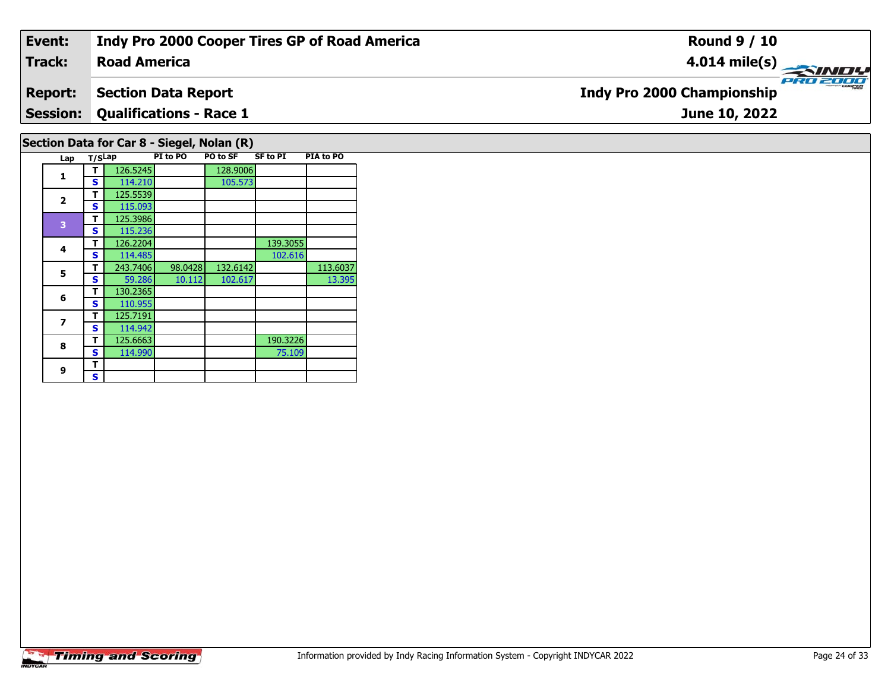## **Event: Indy Pro 2000 Cooper Tires GP of Road America Round 9 / 10Track:Road America4.014 mile(s) PRO 2000 Report: Section Data Report Indy Pro 2000 Championship Session: Qualifications - Race 1 June 10, 2022 Section Data for Car 8 - Siegel, Nolan (R) Lap T/SLap PI to PO PO to SF SF to PI PIA to PO**

**1**

**2**

**4**

**5**

**6**

**7**

**8**

**9 TS**

**<sup>T</sup>** 125.5539 **<sup>S</sup>** 115.093

**<sup>T</sup>** 125.3986 **<sup>S</sup>** 115.236

 **<sup>T</sup>** 130.2365 **<sup>S</sup>** 110.955125.7191

**<sup>T</sup>** 125.7191 **<sup>S</sup>** 114.942

**1 T** 126.5245 128.9006<br>**S** 114.210 105.573

**d T** 126.2204 139.3055<br> **S** 114.485 102.616

**R T** 125.6663 190.3226<br>**S** 114.990 75.109

**T** 243.7406 98.0428 132.6142 113.6037<br>**S** 59.286 10.112 102.617 13.395

102.616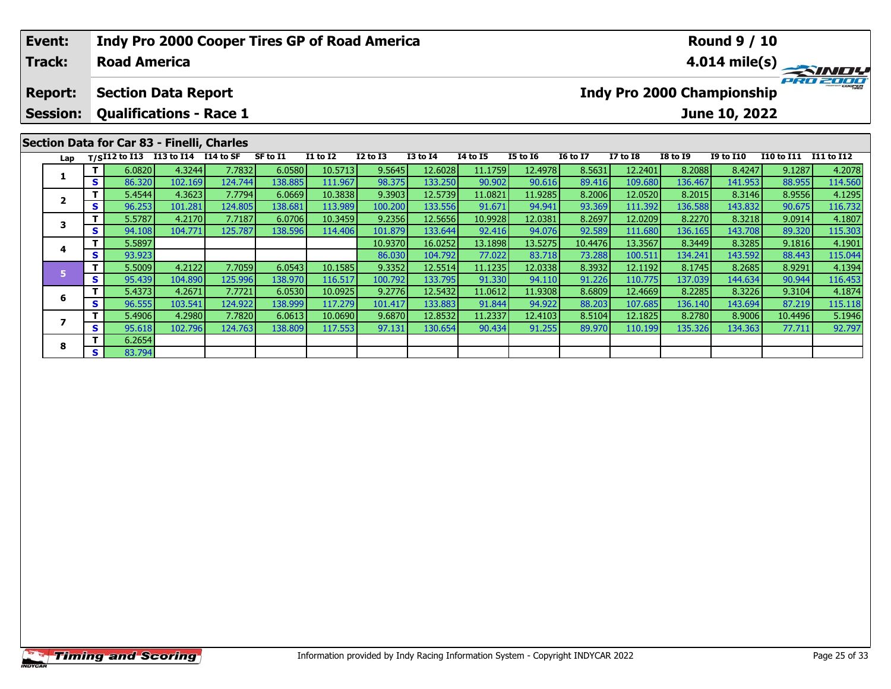| Event:                  |     |                     |                                            |         | <b>Indy Pro 2000 Cooper Tires GP of Road America</b> |                 |              |                 |                 |                 |                 |                 |                                   | <b>Round 9 / 10</b> |                   |                         |
|-------------------------|-----|---------------------|--------------------------------------------|---------|------------------------------------------------------|-----------------|--------------|-----------------|-----------------|-----------------|-----------------|-----------------|-----------------------------------|---------------------|-------------------|-------------------------|
| <b>Track:</b>           |     | <b>Road America</b> |                                            |         |                                                      |                 |              |                 |                 |                 |                 |                 |                                   |                     |                   | $4.014 \text{ mile(s)}$ |
| <b>Report:</b>          |     |                     | <b>Section Data Report</b>                 |         |                                                      |                 |              |                 |                 |                 |                 |                 | <b>Indy Pro 2000 Championship</b> |                     |                   | PRO 2000                |
| <b>Session:</b>         |     |                     | <b>Qualifications - Race 1</b>             |         |                                                      |                 |              |                 |                 |                 |                 |                 |                                   | June 10, 2022       |                   |                         |
|                         |     |                     | Section Data for Car 83 - Finelli, Charles |         |                                                      |                 |              |                 |                 |                 |                 |                 |                                   |                     |                   |                         |
| Lap                     |     |                     | T/SI12 to I13 I13 to I14 I14 to SF         |         | SF to I1                                             | <b>I1 to I2</b> | $I2$ to $I3$ | <b>I3 to I4</b> | <b>I4 to I5</b> | <b>I5 to 16</b> | <b>16 to 17</b> | <b>I7 to I8</b> | <b>I8 to 19</b>                   | <b>I9 to I10</b>    | <b>I10 to I11</b> | I11 to I12              |
|                         |     | 6.0820              | 4.3244                                     | 7.7832  | 6.0580                                               | 10.5713         | 9.5645       | 12.6028         | 11.1759         | 12.4978         | 8.5631          | 12.2401         | 8.2088                            | 8.4247              | 9.1287            | 4.2078                  |
|                         | S.  | 86.320              | 102.169                                    | 124.744 | 138.885                                              | 111.967         | 98.375       | 133.250         | 90.902          | 90.616          | 89.416          | 109.680         | 136.467                           | 141.953             | 88.955            | 114.560                 |
| $\overline{\mathbf{2}}$ |     | 5.4544              | 4.3623                                     | 7.7794  | 6.0669                                               | 10.3838         | 9.3903       | 12.5739         | 11.0821         | 11.9285         | 8.2006          | 12.0520         | 8.2015                            | 8.3146              | 8.9556            | 4.1295                  |
|                         | s l | 96.253              | 101.281                                    | 124.805 | 138.681                                              | 113.989         | 100.200      | 133.556         | 91.671          | 94.941          | 93.369          | 111.392         | 136.588                           | 143.832             | 90.675            | 116.732                 |
| 3                       |     | 5.5787              | 4.2170                                     | 7.7187  | 6.0706                                               | 10.3459         | 9.2356       | 12.5656         | 10.9928         | 12.0381         | 8.2697          | 12.0209         | 8.2270                            | 8.3218              | 9.0914            | 4.1807                  |
|                         | s l | 94.108              | 104.771                                    | 125.787 | 138.596                                              | 114.406         | 101.879      | 133.644         | 92.416          | 94.076          | 92.589          | 111.680         | 136.165                           | 143.708             | 89.320            | 115.303                 |
|                         |     | 5.5897              |                                            |         |                                                      |                 | 10.9370      | 16.0252         | 13.1898         | 13.5275         | 10.4476         | 13.3567         | 8.3449                            | 8.3285              | 9.1816            | 4.1901                  |
| 4                       | s l | 93.923              |                                            |         |                                                      |                 | 86.030       | 104.792         | 77.022          | 83.718          | 73.288          | 100.511         | 134.241                           | 143.592             | 88.443            | 115.044                 |

5 | T | 5.5009| 4.2122| 7.7059| 6.0543| 10.1585| 9.3352| 12.5514| 11.1235| 12.0338| 8.3932| 12.1192| 8.1745| 8.2685| 8.9291| 4.1394<br>| S | 95.439| 104.890| 125.996| 138.970| 116.517| 100.792| 133.795| 91.330| 94.110| 91.226

6 | T | 5.4373| 4.2671| 7.7721| 6.0530| 10.0925| 9.2776| 12.5432| 11.0612| 11.9308| 8.6809| 12.4669| 8.2285| 8.3226| 9.3104| 4.1874<br>| S | 96.555| 103.541 124.922| 138.999| 117.279| 101.417| 133.883| 91.844| 94.922| 88.203|

7 | T | 5.4906| 4.2980| 7.7820| 6.0613| 10.0690| 9.6870| 12.8532| 11.2337| 12.4103| 8.5104| 12.1825| 8.2780| 8.9006| 10.4496| 5.1946<br>7 | S | 95.618| 102.796| 124.763| 138.809| 117.553| 97.131| 130.654| 90.434| 91.255| 89.9

**6**

**7**

**8**

**<sup>T</sup>** 6.2654 **<sup>S</sup>** 83.794

116.453<br>4.1874

115.118<br>5.1946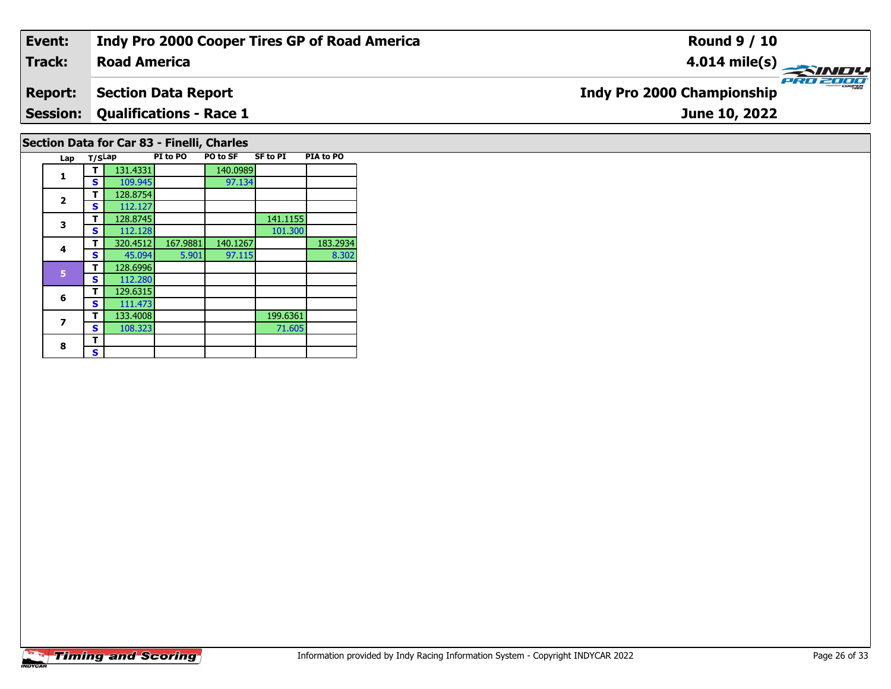#### **Event: Indy Pro 2000 Cooper Tires GP of Road America Round 9 / 10Road America4.014 mile(s) Track:** PRO 2001 **Indy Pro 2000 Championship Report: Section Data Report Qualifications - Race 1 Session:June 10, 2022 Section Data for Car 83 - Finelli, Charles**

| Lap          | T/SLap |          | PI to PO | PO to SF | SF to PI | PIA to PO |
|--------------|--------|----------|----------|----------|----------|-----------|
| 1            | т      | 131.4331 |          | 140.0989 |          |           |
|              | S      | 109.945  |          | 97.134   |          |           |
|              | т      | 128.8754 |          |          |          |           |
| $\mathbf{2}$ | S      | 112.127  |          |          |          |           |
| 3            | т      | 128.8745 |          |          | 141.1155 |           |
|              | s      | 112.128  |          |          | 101.300  |           |
| 4            | т      | 320.4512 | 167.9881 | 140.1267 |          | 183.2934  |
|              | S      | 45.094   | 5.901    | 97.115   |          | 8.302     |
| 5            | т      | 128.6996 |          |          |          |           |
|              | S      | 112.280  |          |          |          |           |
| 6            | т      | 129.6315 |          |          |          |           |
|              | S      | 111.473  |          |          |          |           |
| 7            | т      | 133.4008 |          |          | 199.6361 |           |
|              | S      | 108.323  |          |          | 71.605   |           |
| 8            | т      |          |          |          |          |           |
|              | S      |          |          |          |          |           |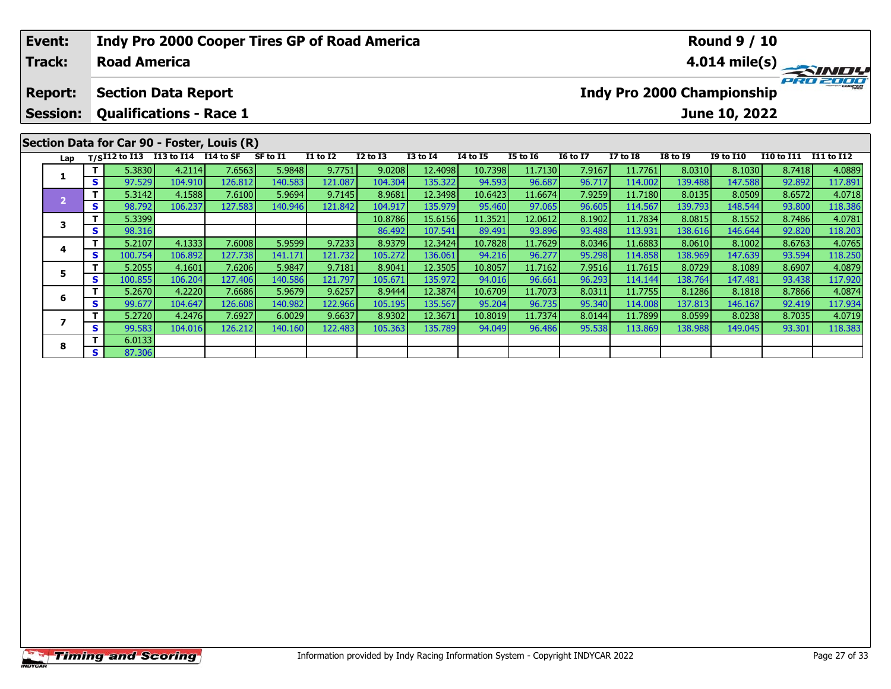| Event:                            |              |                     | <b>Indy Pro 2000 Cooper Tires GP of Road America</b>         |         |          |          |              |                 |                 |                 |                 |                 |                                   | <b>Round 9 / 10</b> |                   |                                                           |
|-----------------------------------|--------------|---------------------|--------------------------------------------------------------|---------|----------|----------|--------------|-----------------|-----------------|-----------------|-----------------|-----------------|-----------------------------------|---------------------|-------------------|-----------------------------------------------------------|
| <b>Track:</b>                     |              | <b>Road America</b> |                                                              |         |          |          |              |                 |                 |                 |                 |                 |                                   |                     |                   | $4.014 \text{ mile(s)} \rightarrow 4.014 \text{ mile(s)}$ |
| <b>Report:</b><br><b>Session:</b> |              |                     | <b>Section Data Report</b><br><b>Qualifications - Race 1</b> |         |          |          |              |                 |                 |                 |                 |                 | <b>Indy Pro 2000 Championship</b> | June 10, 2022       |                   | PRO 2000                                                  |
|                                   |              |                     | Section Data for Car 90 - Foster, Louis (R)                  |         |          |          |              |                 |                 |                 |                 |                 |                                   |                     |                   |                                                           |
| Lap                               |              | $T/SI12$ to $I13$   | I13 to I14 I14 to SF                                         |         | SF to I1 | I1 to I2 | $I2$ to $I3$ | <b>I3 to I4</b> | <b>I4 to I5</b> | <b>I5 to 16</b> | <b>16 to 17</b> | <b>I7 to I8</b> | <b>I8 to I9</b>                   | <b>I9 to I10</b>    | <b>I10 to I11</b> | <b>I11 to I12</b>                                         |
|                                   |              | 5.3830              | 4.2114                                                       | 7.6563  | 5.9848   | 9.7751   | 9.0208       | 12.4098         | 10.7398         | 11.7130         | 7.9167          | 11.7761         | 8.0310                            | 8.1030              | 8.7418            | 4.0889                                                    |
|                                   | $\mathbf{s}$ | 97.529              | 104.910                                                      | 126.812 | 140.583  | 121.087  | 104.304      | 135.322         | 94.593          | 96.687          | 96.717          | 114.002         | 139.488                           | 147.588             | 92.892            | 117.891                                                   |
| 2                                 |              | 5.3142              | 4.1588                                                       | 7.6100  | 5.9694   | 9.7145   | 8.9681       | 12.3498         | 10.6423         | 11.6674         | 7.9259          | 11.7180         | 8.0135                            | 8.0509              | 8.6572            | 4.0718                                                    |
|                                   | <b>S</b>     | 98.792              | 106.237                                                      | 127.583 | 140.946  | 121.842  | 104.917      | 135.979         | 95.460          | 97.065          | 96.605          | 114.567         | 139.793                           | 148.544             | 93.800            | 118.386                                                   |
| 3                                 | Τ.           | 5.3399              |                                                              |         |          |          | 10.8786      | 15.6156         | 11.3521         | 12.0612         | 8.1902          | 11.7834         | 8.0815                            | 8.1552              | 8.7486            | 4.0781                                                    |
|                                   | <b>S</b>     | 98.316              |                                                              |         |          |          | 86.492       | 107.541         | 89.491          | 93.896          | 93.488          | 113.931         | 138.616                           | 146.644             | 92.820            | 118.203                                                   |
|                                   |              | 5.2107              | 4.1333                                                       | 7.6008  | 5.9599   | 9.7233   | 8.9379       | 12.3424         | 10.7828         | 11.7629         | 8.0346          | 11.6883         | 8.0610                            | 8.1002              | 8.6763            | 4.0765                                                    |
| 4                                 | <b>S</b>     | 100.754             | 106.892                                                      | 127.738 | 141.171  | 121.732  | 105.272      | 136.061         | 94.216          | 96.277          | 95.298          | 114.858         | 138.969                           | 147.639             | 93.594            | 118.250                                                   |
|                                   |              | 5.2055              | 4.1601                                                       | 7.6206  | 5.9847   | 9.7181   | 8.9041       | 12.3505         | 10.8057         | 11.7162         | 7.9516          | 11.7615         | 8.0729                            | 8.1089              | 8.6907            | 4.0879                                                    |
| 5                                 | S.           | 100.855             | 106.204                                                      | 127.406 | 140.586  | 121.797  | 105.671      | 135.972         | 94.016          | 96.661          | 96.293          | 114.144         | 138.764                           | 147.481             | 93.438            | 117.920                                                   |

6 | T | 5.2670 |4.2220 | 7.6686 | 5.9679 | 9.6257 | 8.9444 | 12.3874 | 10.6709 | 11.7073 | 8.0311 | 11.7755 | 8.1286 | 8.1818 | 8.7866 | 4.0874 | 13.934 | 13.934 | 13.934 | 13.934 | 14.075 | 14.087 | 14.087 | 14.087 | 14.0

7 | T | 5.2720 | 4.2476 | 7.6927 | 6.0029 | 9.6637 | 8.9302 | 12.3671 | 10.8019 | 11.7374 | 8.0144 | 11.7899 | 8.0599 | 8.0238 | 8.7035 | 4.0719<br>7 | S | 99.583 | 104.016 | 126.212 | 140.160 | 122.483 | 105.363 | 135.789 |

**6**

**7**

**8**

**<sup>T</sup>** 6.0133 **<sup>S</sup>** 87.306

117.934<br>4.0719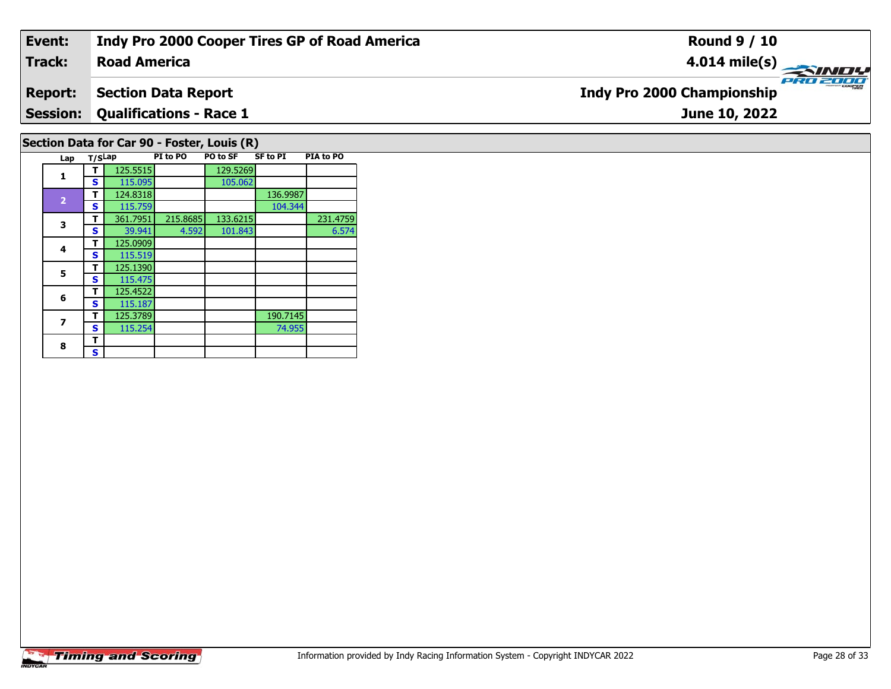#### **Event: Indy Pro 2000 Cooper Tires GP of Road America Round 9 / 10Road America4.014 mile(s) Track:** PRO 2001 **Indy Pro 2000 Championship Report: Section Data Report Qualifications - Race 1 Session:June 10, 2022 Section Data for Car 90 - Foster, Louis (R)**

| Lap            | T/SLap |          | PI to PO | PO to SF | <b>SF to PI</b> | PIA to PO |
|----------------|--------|----------|----------|----------|-----------------|-----------|
| 1              |        | 125.5515 |          | 129.5269 |                 |           |
|                | S      | 115.095  |          | 105.062  |                 |           |
|                | т      | 124.8318 |          |          | 136.9987        |           |
| $\overline{2}$ | S      | 115.759  |          |          | 104.344         |           |
| 3              | т      | 361.7951 | 215.8685 | 133.6215 |                 | 231.4759  |
|                | S      | 39.941   | 4.592    | 101.843  |                 | 6.574     |
| 4              | т      | 125.0909 |          |          |                 |           |
|                | S      | 115.519  |          |          |                 |           |
| 5              | т      | 125.1390 |          |          |                 |           |
|                | S      | 115.475  |          |          |                 |           |
| 6              | т      | 125.4522 |          |          |                 |           |
|                | S      | 115.187  |          |          |                 |           |
| 7              | т      | 125.3789 |          |          | 190.7145        |           |
|                | S      | 115.254  |          |          | 74.955          |           |
| 8              | т      |          |          |          |                 |           |
|                | S      |          |          |          |                 |           |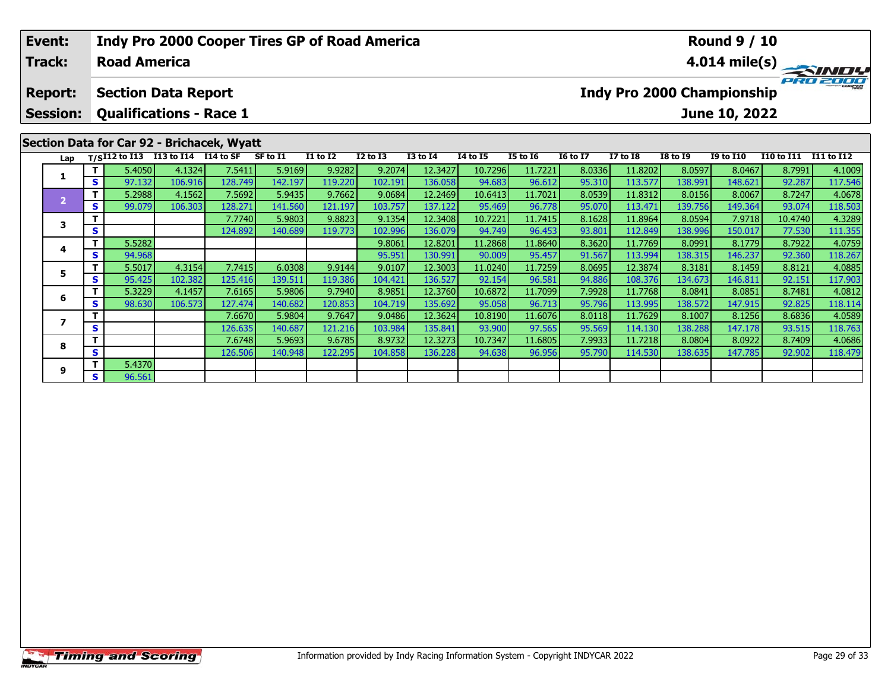| Event:<br><b>Track:</b>                                                 |        | Indy Pro 2000 Cooper Tires GP of Road America<br><b>Road America</b> |                      |         |          |                 |              |                 |          |                 |                 |                                   |                 | <b>Round 9 / 10</b> |                   | $4.014 \text{ mile(s)}$ |
|-------------------------------------------------------------------------|--------|----------------------------------------------------------------------|----------------------|---------|----------|-----------------|--------------|-----------------|----------|-----------------|-----------------|-----------------------------------|-----------------|---------------------|-------------------|-------------------------|
| <b>Report:</b>                                                          |        | <b>Section Data Report</b>                                           |                      |         |          |                 |              |                 |          |                 |                 | <b>Indy Pro 2000 Championship</b> |                 |                     |                   | PRO 2000                |
| <b>Session:</b>                                                         |        | <b>Qualifications - Race 1</b>                                       |                      |         |          |                 |              |                 |          |                 |                 |                                   |                 | June 10, 2022       |                   |                         |
|                                                                         |        |                                                                      |                      |         |          |                 |              |                 |          |                 |                 |                                   |                 |                     |                   |                         |
| Lap                                                                     |        | $T/SI12$ to $I13$                                                    | I13 to I14 I14 to SF |         | SF to I1 | <b>I1 to I2</b> | $I2$ to $I3$ | <b>I3 to I4</b> | 14 to 15 | <b>I5 to 16</b> | <b>16 to 17</b> | <b>I7 to I8</b>                   | <b>I8 to I9</b> | <b>I9 to I10</b>    | <b>I10 to I11</b> | <b>I11 to I12</b>       |
| Section Data for Car 92 - Brichacek, Wyatt<br>S.<br>$\overline{2}$<br>S | 5.4050 | 4.1324                                                               | 7.5411               | 5.9169  | 9.9282   | 9.2074          | 12.3427      | 10.7296         | 11.7221  | 8.0336          | 11.8202         | 8.0597                            | 8.0467          | 8.7991              | 4.1009            |                         |
|                                                                         |        | 97.132                                                               | 106.916              | 128.749 | 142.197  | 119.220         | 102.191      | 136.058         | 94.683   | 96.612          | 95.310          | 113.577                           | 138.991         | 148.621             | 92.287            | 117.546                 |
|                                                                         |        | 5.2988                                                               | 4.1562               | 7.5692  | 5.9435   | 9.7662          | 9.0684       | 12.2469         | 10.6413  | 11.7021         | 8.0539          | 11.8312                           | 8.0156          | 8.0067              | 8.7247            | 4.0678                  |
|                                                                         |        | 99.079                                                               | 106.303              | 128.271 | 141.560  | 121.197         | 103.757      | 137.122         | 95.469   | 96.778          | 95.070          | 113.471                           | 139.756         | 149.364             | 93.074            | 118.503                 |
| 3                                                                       |        |                                                                      |                      | 7.7740  | 5.9803   | 9.8823          | 9.1354       | 12.3408         | 10.7221  | 11.7415         | 8.1628          | 11.8964                           | 8.0594          | 7.9718              | 10.4740           | 4.3289                  |
|                                                                         | S      |                                                                      |                      | 124.892 | 140.689  | 119.773         | 102.996      | 136.079         | 94.749   | 96.453          | 93.801          | 112.849                           | 138.996         | 150.017             | 77.530            | 111.355                 |
| 4                                                                       | Τ.     | 5.5282                                                               |                      |         |          |                 | 9.8061       | 12.8201         | 11.2868  | 11.8640         | 8.3620          | 11.7769                           | 8.0991          | 8.1779              | 8.7922            | 4.0759                  |
|                                                                         | S.     | 94.968                                                               |                      |         |          |                 | 95.951       | 130.991         | 90.009   | 95.457          | 91.567          | 113.994                           | 138.315         | 146.237             | 92.360            | 118.267                 |
| 5                                                                       |        | 5.5017                                                               | 4.3154               | 7.7415  | 6.0308   | 9.9144          | 9.0107       | 12.3003         | 11.0240  | 11.7259         | 8.0695          | 12.3874                           | 8.3181          | 8.1459              | 8.8121            | 4.0885                  |
|                                                                         | S.     | 95.425                                                               | 102.382              | 125.416 | 139.511  | 119.386         | 104.421      | 136.527         | 92.154   | 96.581          | 94.886          | 108.376                           | 134.673         | 146.811             | 92.151            | 117.903                 |
| 6                                                                       |        | 5.3229                                                               | 4.1457               | 7.6165  | 5.9806   | 9.7940          | 8.9851       | 12.3760         | 10.6872  | 11.7099         | 7.9928          | 11.7768                           | 8.0841          | 8.0851              | 8.7481            | 4.0812                  |
|                                                                         | S.     | 98.630                                                               | 106.573              | 127.474 | 140.682  | 120.853         | 104.719      | 135.692         | 95.058   | 96.713          | 95.796          | 113.995                           | 138.572         | 147.915             | 92.825            | 118.114                 |
|                                                                         | Τ.     |                                                                      |                      | 7.6670  | 5.9804   | 9.7647          | 9.0486       | 12.36241        | 10.8190  | 11.6076         | 8.0118          | 11.7629                           | 8.1007          | 8.1256              | 8.6836            | 4.0589                  |

**<sup>T</sup>** 7.6670 5.9804 9.7647 9.0486 12.3624 10.8190 11.6076 8.0118 11.7629 8.1007 8.1256 8.6836 4.0589 **<sup>S</sup>** 126.635 140.687 121.216 103.984 135.841 93.900 97.565 95.569 114.130 138.288 147.178 93.515 118.763

**<sup>T</sup>** 7.6748 5.9693 9.6785 8.9732 12.3273 10.7347 11.6805 7.9933 11.7218 8.0804 8.0922 8.7409 4.0686 **<sup>S</sup>** 126.506 140.948 122.295 104.858 136.228 94.638 96.956 95.790 114.530 138.635 147.785 92.902 118.479

**7**

**8**

**9**

**<sup>T</sup>** 5.4370 **<sup>S</sup>** 96.561

118.763<br>4.0686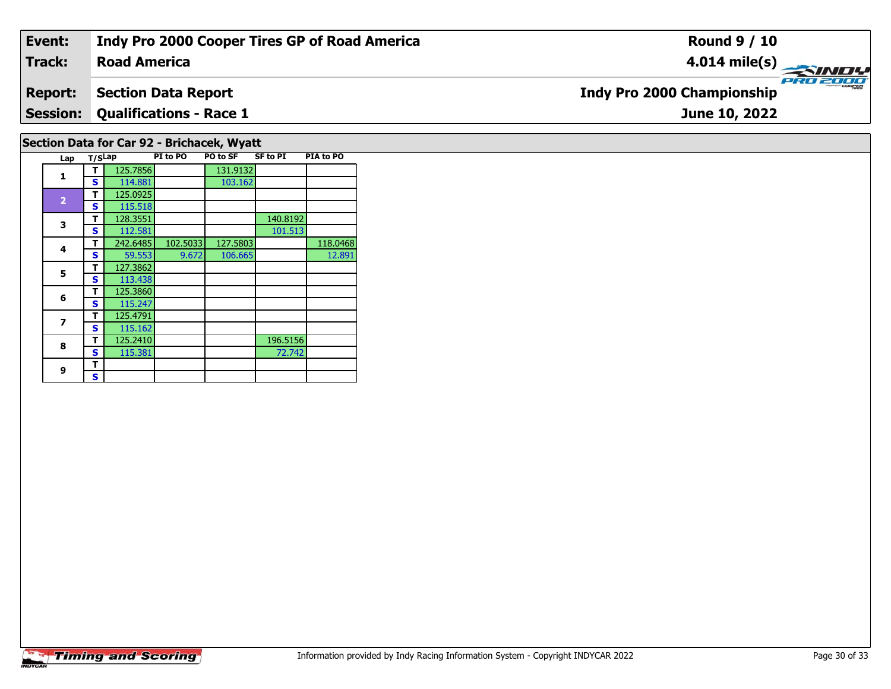#### **Event: Indy Pro 2000 Cooper Tires GP of Road America Round 9 / 10Road America4.014 mile(s) Track:** PRO 2000 **Indy Pro 2000 Championship Report: Section Data Report Qualifications - Race 1 Session:June 10, 2022 Section Data for Car 92 - Brichacek, Wyatt**

| PI to PO<br>PO to SF<br><b>SF to PI</b><br>PIA to PO |                |        |          |          |          |          |          |
|------------------------------------------------------|----------------|--------|----------|----------|----------|----------|----------|
|                                                      | Lap            | T/SLap |          |          |          |          |          |
|                                                      | 1              |        | 125.7856 |          | 131.9132 |          |          |
|                                                      |                | S      | 114.881  |          | 103.162  |          |          |
|                                                      | $\overline{2}$ | т      | 125.0925 |          |          |          |          |
|                                                      |                | S      | 115.518  |          |          |          |          |
|                                                      | 3              | т      | 128.3551 |          |          | 140.8192 |          |
|                                                      |                | S      | 112.581  |          |          | 101.513  |          |
|                                                      | 4              | т      | 242.6485 | 102.5033 | 127.5803 |          | 118.0468 |
|                                                      |                | S      | 59.553   | 9.672    | 106.665  |          | 12.891   |
|                                                      | 5              | т      | 127.3862 |          |          |          |          |
|                                                      |                | S      | 113.438  |          |          |          |          |
|                                                      | 6              | т      | 125.3860 |          |          |          |          |
|                                                      |                | s      | 115.247  |          |          |          |          |
|                                                      | 7              | т      | 125.4791 |          |          |          |          |
|                                                      |                | S      | 115.162  |          |          |          |          |
|                                                      | 8              | т      | 125.2410 |          |          | 196.5156 |          |
|                                                      |                | S      | 115.381  |          |          | 72.742   |          |
|                                                      | 9              | т      |          |          |          |          |          |
|                                                      |                | s      |          |          |          |          |          |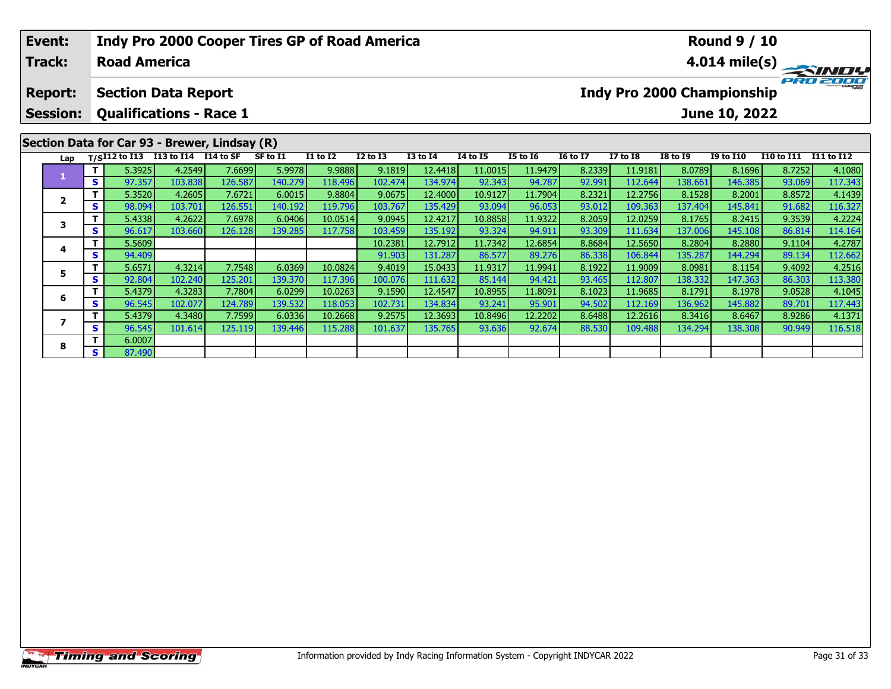# **Event:Round 9 / 10 Indy Pro 2000 Cooper Tires GP of Road America Track:Road America4.014 mile(s)** PRO 2000 **Report: Section Data Report Indy Pro 2000 Championship Session: Qualifications - Race 1 June 10, 2022 Section Data for Car 93 - Brewer, Lindsay (R) Lap T/SI12 to I13 I13 to I14 I14 to SF SF to I1 I1 to I2 I2 to I3 I3 to I4 I4 to I5 I5 to I6 I6 to I7 I7 to I8 I8 to I9 I9 to I10 I10 to I11 I11 to I12 <sup>T</sup>** 5.3925 4.2549 7.6699 5.9978 9.9888 9.1819 12.4418 11.0015 11.9479 8.2339 11.9181 8.0789 8.1696 8.7252 4.1080 **<sup>S</sup>** 97.357 103.838 126.587 140.279 118.496 102.474 134.974 92.343 94.787 92.991 112.644 138.661 146.385 93.069 117.343**1**2 | T | 5.3520| 4.2605| 7.6721| 6.0015| 9.8804| 9.0675| 12.4000| 10.9127| 11.7904| 8.2321| 12.2756| 8.1528| 8.2001| 8.8572| 4.1439<br>| S | 98.094| 103.701| 126.551| 140.192| 119.796| 103.767| 135.429| 93.094| 96.053| 93.012| **2**3 T 5.4338 4.2622 7.6978 6.0406 10.0514 9.0945 12.4217 10.8858 11.9322 8.2059 12.0259 8.1765 8.2415 9.3539 4.2224<br>S S 96.617 103.660 126.128 139.285 117.758 103.459 135.192 93.324 94.911 93.309 111.634 137.006 145.108 86.8 **3 <sup>T</sup>** 5.5609 10.2381 12.7912 11.7342 12.6854 8.8684 12.5650 8.2804 8.2880 9.1104 4.2787 **<sup>S</sup>** 94.409 91.903 131.287 86.577 89.276 86.338 106.844 135.287 144.294 89.134 112.662**4**112.662 **<sup>T</sup>** 5.6571 4.3214 7.7548 6.0369 10.0824 9.4019 15.0433 11.9317 11.9941 8.1922 11.9009 8.0981 8.1154 9.4092 4.2516 **<sup>S</sup>** 92.804 102.240 125.201 139.370 117.396 100.076 111.632 85.144 94.421 93.465 112.807 138.332 147.363 86.303 113.380**5**

6 | T | 5.4379| 4.3283| 7.7804| 6.0299| 10.0263| 9.1590| 12.4547| 10.8955| 11.8091| 8.1023| 11.9685| 8.1791| 8.1978| 9.0528| 4.1045<br>| S | 96.545| 102.077| 124.789| 139.532| 118.053| 102.731| 134.834| 93.241| 95.901| 94.502

7 | T | 5.4379| 4.3480| 7.7599| 6.0336| 10.2668| 9.2575| 12.3693| 10.8496| 12.2202| 8.6488| 12.2616| 8.3416| 8.6467| 8.9286| 4.1371<br>7 | S | 96.545 101.614 125.119 139.446 115.288 101.637 135.765 93.636 92.674 88.530 109.48

**6**

**7**

**8**

**<sup>T</sup>** 6.0007 **<sup>S</sup>** 87.490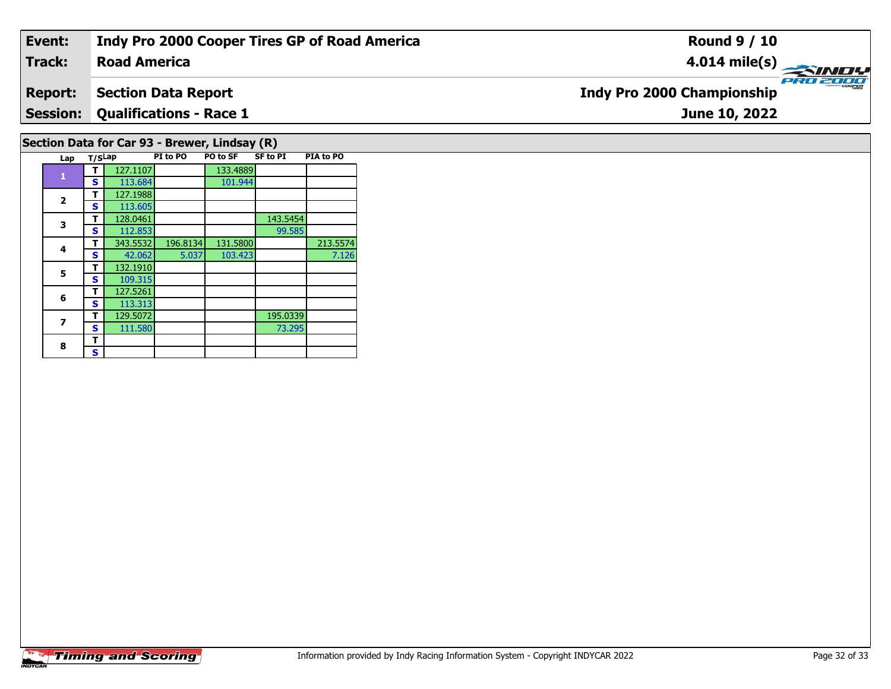#### **Event: Indy Pro 2000 Cooper Tires GP of Road America Round 9 / 10Track:Road America4.014 mile(s)** PRO 2000 **Report: Section Data Report Indy Pro 2000 Championship Session: Qualifications - Race 1 June 10, 2022 Section Data for Car 93 - Brewer, Lindsay (R)**

**Lap T/SLap PI to PO PO to SF SF to PI PIA to PO** 

**T** 343.5532 196.8134 131.5800 213.5574<br> **S** 42.062 5.037 103.423 7.126

**T** 128.0461 143.5454<br> **S** 112.853 99.585

**T** 129.5072 195.0339<br>**S** 111.580 73.295

101.944

7.126

73.295

**T** 127.1107 133.4889<br>**S** 113.684 101.944

**1**

**2**

**3**

**4**

**5**

**6**

**7**

8  $\frac{1}{s}$ 

**a T** 127.1988<br>**S** 113.605

**<sup>T</sup>** 132.1910 **<sup>S</sup>** 109.315

 **<sup>T</sup>** 127.5261 **<sup>S</sup>** 113.313129.5072